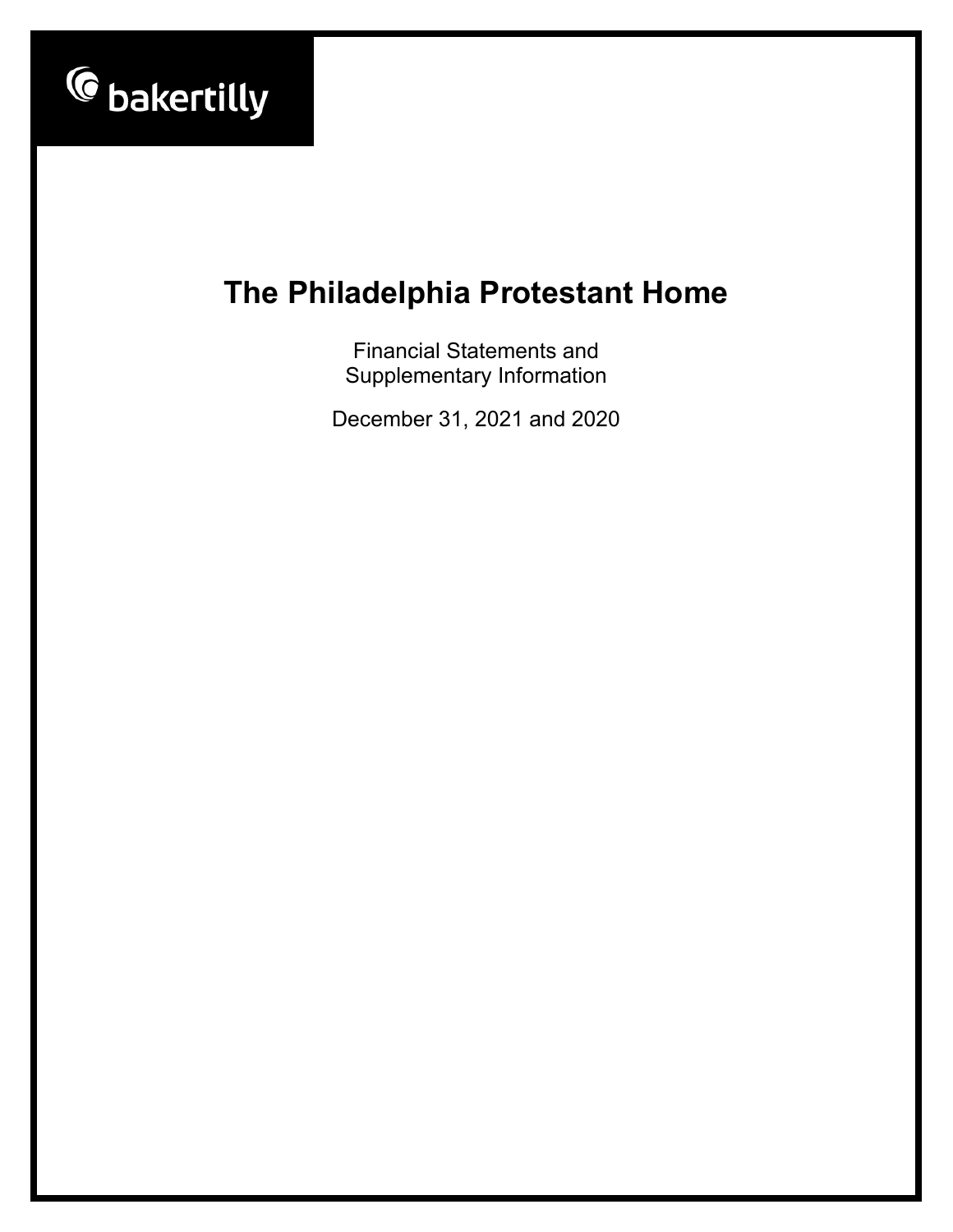

Financial Statements and Supplementary Information

December 31, 2021 and 2020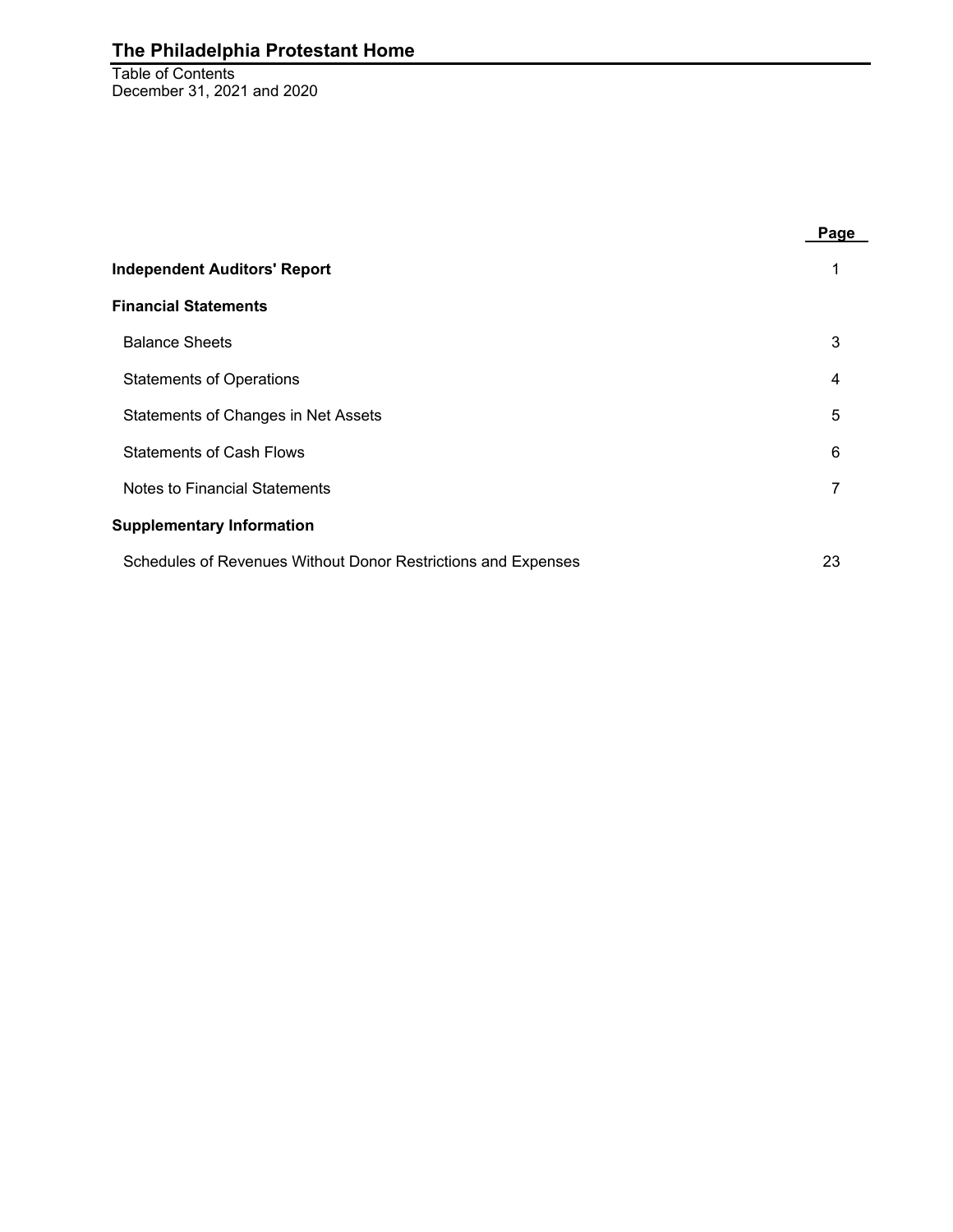Table of Contents December 31, 2021 and 2020

|                                                               | Page |
|---------------------------------------------------------------|------|
| <b>Independent Auditors' Report</b>                           | 1    |
| <b>Financial Statements</b>                                   |      |
| <b>Balance Sheets</b>                                         | 3    |
| <b>Statements of Operations</b>                               | 4    |
| Statements of Changes in Net Assets                           | 5    |
| <b>Statements of Cash Flows</b>                               | 6    |
| Notes to Financial Statements                                 | 7    |
| <b>Supplementary Information</b>                              |      |
| Schedules of Revenues Without Donor Restrictions and Expenses | 23   |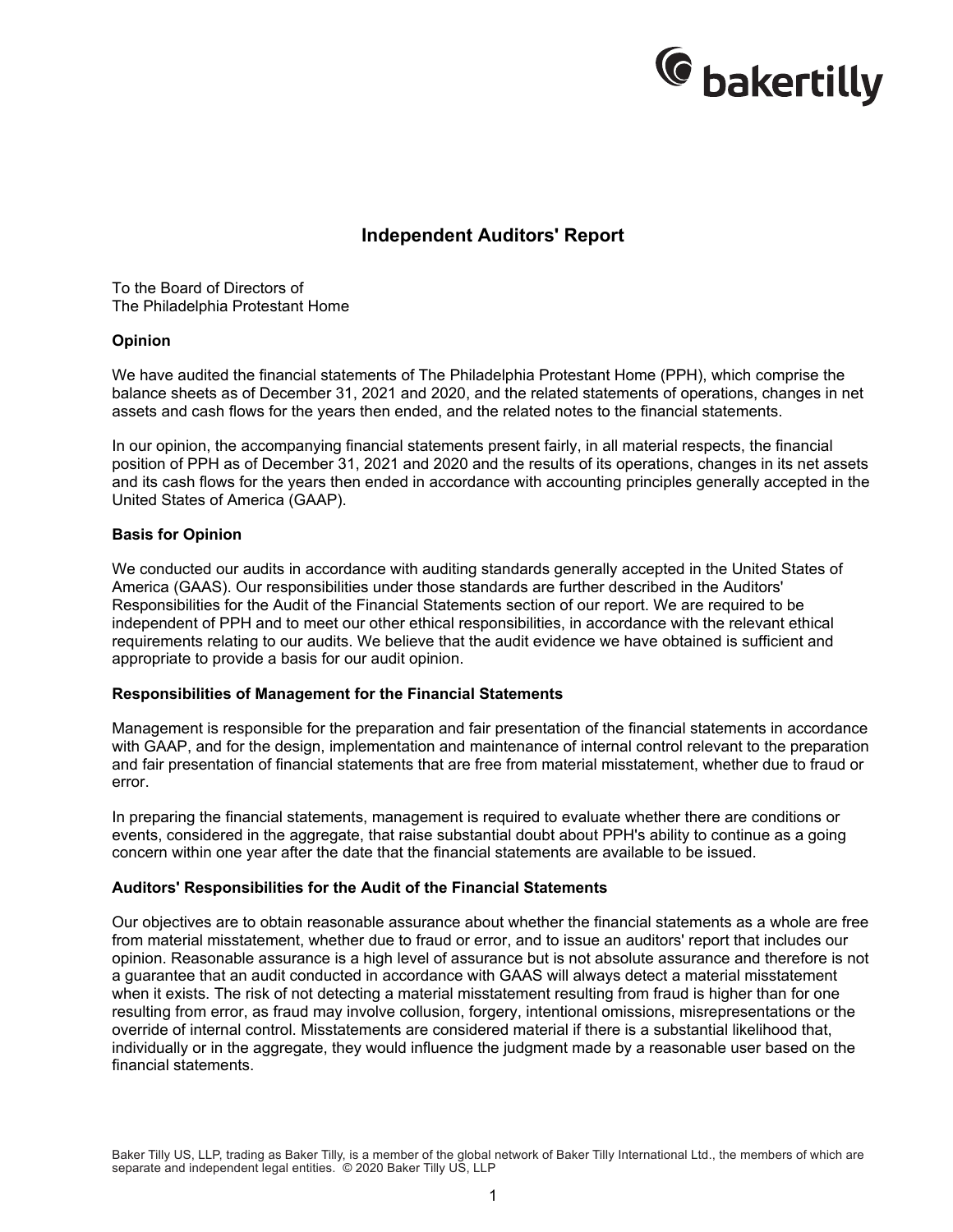

## **Independent Auditors' Report**

To the Board of Directors of The Philadelphia Protestant Home

#### **Opinion**

We have audited the financial statements of The Philadelphia Protestant Home (PPH), which comprise the balance sheets as of December 31, 2021 and 2020, and the related statements of operations, changes in net assets and cash flows for the years then ended, and the related notes to the financial statements.

In our opinion, the accompanying financial statements present fairly, in all material respects, the financial position of PPH as of December 31, 2021 and 2020 and the results of its operations, changes in its net assets and its cash flows for the years then ended in accordance with accounting principles generally accepted in the United States of America (GAAP).

#### **Basis for Opinion**

We conducted our audits in accordance with auditing standards generally accepted in the United States of America (GAAS). Our responsibilities under those standards are further described in the Auditors' Responsibilities for the Audit of the Financial Statements section of our report. We are required to be independent of PPH and to meet our other ethical responsibilities, in accordance with the relevant ethical requirements relating to our audits. We believe that the audit evidence we have obtained is sufficient and appropriate to provide a basis for our audit opinion.

#### **Responsibilities of Management for the Financial Statements**

Management is responsible for the preparation and fair presentation of the financial statements in accordance with GAAP, and for the design, implementation and maintenance of internal control relevant to the preparation and fair presentation of financial statements that are free from material misstatement, whether due to fraud or error.

In preparing the financial statements, management is required to evaluate whether there are conditions or events, considered in the aggregate, that raise substantial doubt about PPH's ability to continue as a going concern within one year after the date that the financial statements are available to be issued.

#### **Auditors' Responsibilities for the Audit of the Financial Statements**

Our objectives are to obtain reasonable assurance about whether the financial statements as a whole are free from material misstatement, whether due to fraud or error, and to issue an auditors' report that includes our opinion. Reasonable assurance is a high level of assurance but is not absolute assurance and therefore is not a guarantee that an audit conducted in accordance with GAAS will always detect a material misstatement when it exists. The risk of not detecting a material misstatement resulting from fraud is higher than for one resulting from error, as fraud may involve collusion, forgery, intentional omissions, misrepresentations or the override of internal control. Misstatements are considered material if there is a substantial likelihood that, individually or in the aggregate, they would influence the judgment made by a reasonable user based on the financial statements.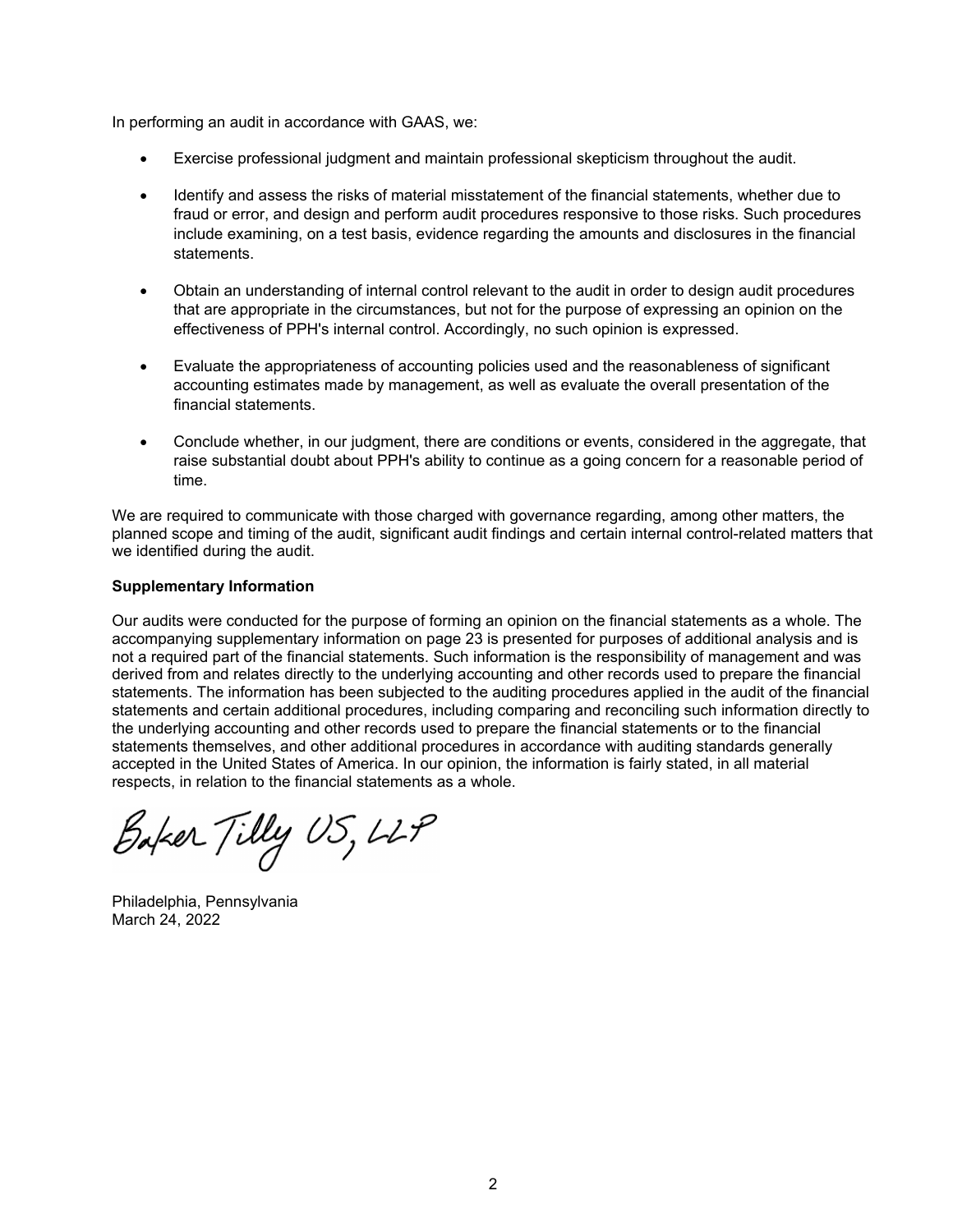In performing an audit in accordance with GAAS, we:

- Exercise professional judgment and maintain professional skepticism throughout the audit.
- Identify and assess the risks of material misstatement of the financial statements, whether due to fraud or error, and design and perform audit procedures responsive to those risks. Such procedures include examining, on a test basis, evidence regarding the amounts and disclosures in the financial statements.
- Obtain an understanding of internal control relevant to the audit in order to design audit procedures that are appropriate in the circumstances, but not for the purpose of expressing an opinion on the effectiveness of PPH's internal control. Accordingly, no such opinion is expressed.
- Evaluate the appropriateness of accounting policies used and the reasonableness of significant accounting estimates made by management, as well as evaluate the overall presentation of the financial statements.
- Conclude whether, in our judgment, there are conditions or events, considered in the aggregate, that raise substantial doubt about PPH's ability to continue as a going concern for a reasonable period of time.

We are required to communicate with those charged with governance regarding, among other matters, the planned scope and timing of the audit, significant audit findings and certain internal control-related matters that we identified during the audit.

#### **Supplementary Information**

Our audits were conducted for the purpose of forming an opinion on the financial statements as a whole. The accompanying supplementary information on page 23 is presented for purposes of additional analysis and is not a required part of the financial statements. Such information is the responsibility of management and was derived from and relates directly to the underlying accounting and other records used to prepare the financial statements. The information has been subjected to the auditing procedures applied in the audit of the financial statements and certain additional procedures, including comparing and reconciling such information directly to the underlying accounting and other records used to prepare the financial statements or to the financial statements themselves, and other additional procedures in accordance with auditing standards generally accepted in the United States of America. In our opinion, the information is fairly stated, in all material respects, in relation to the financial statements as a whole.

Baker Tilly US, LLP

Philadelphia, Pennsylvania March 24, 2022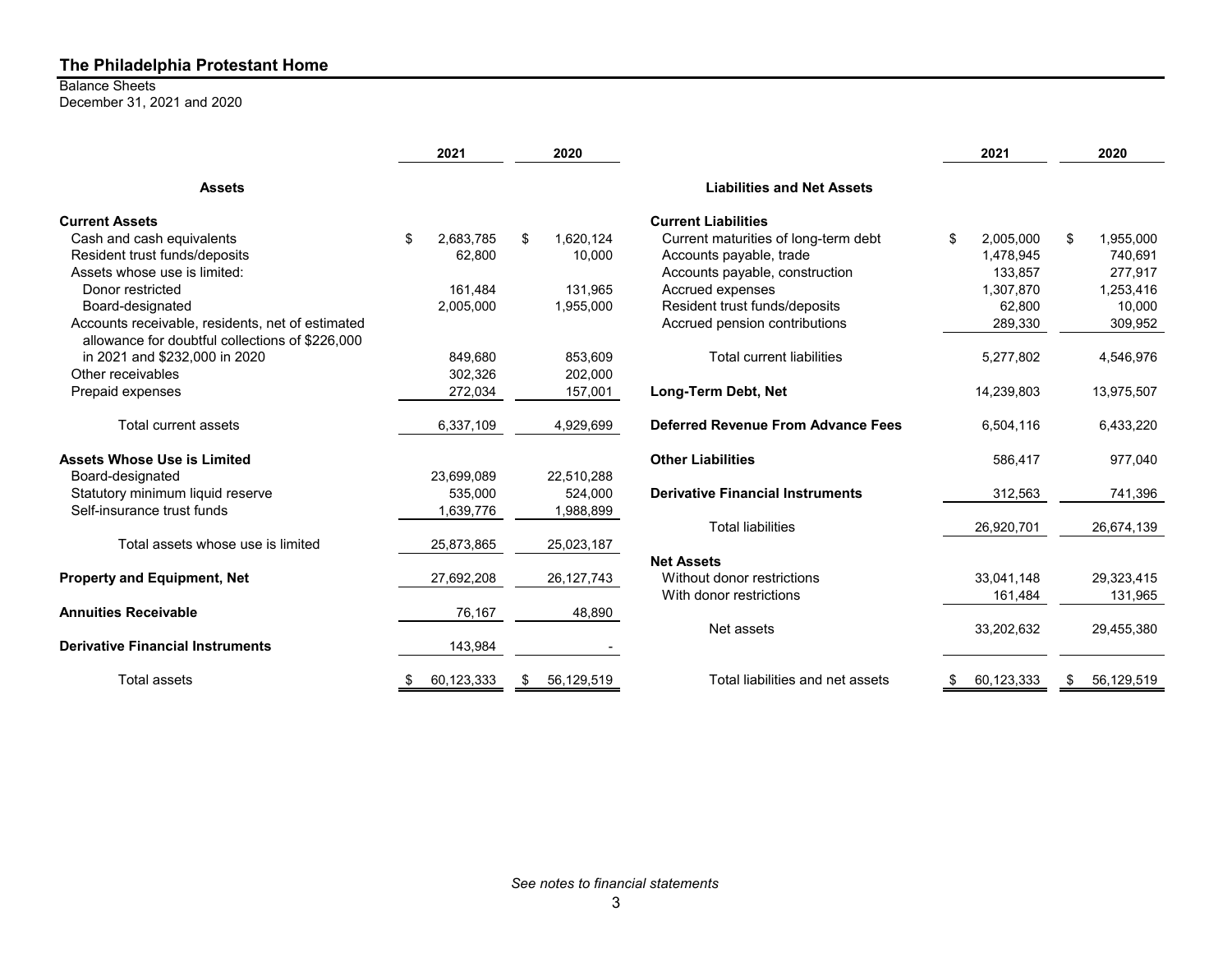Balance Sheets December 31, 2021 and 2020

|                                                  | 2021             | 2020             |                                         | 2021             | 2020             |
|--------------------------------------------------|------------------|------------------|-----------------------------------------|------------------|------------------|
| <b>Assets</b>                                    |                  |                  | <b>Liabilities and Net Assets</b>       |                  |                  |
| <b>Current Assets</b>                            |                  |                  | <b>Current Liabilities</b>              |                  |                  |
| Cash and cash equivalents                        | \$<br>2,683,785  | 1,620,124<br>\$  | Current maturities of long-term debt    | \$<br>2,005,000  | \$<br>1,955,000  |
| Resident trust funds/deposits                    | 62,800           | 10,000           | Accounts payable, trade                 | 1,478,945        | 740,691          |
| Assets whose use is limited:                     |                  |                  | Accounts payable, construction          | 133,857          | 277,917          |
| Donor restricted                                 | 161,484          | 131,965          | Accrued expenses                        | 1,307,870        | 1,253,416        |
| Board-designated                                 | 2,005,000        | 1,955,000        | Resident trust funds/deposits           | 62,800           | 10,000           |
| Accounts receivable, residents, net of estimated |                  |                  | Accrued pension contributions           | 289,330          | 309,952          |
| allowance for doubtful collections of \$226,000  |                  |                  |                                         |                  |                  |
| in 2021 and \$232,000 in 2020                    | 849,680          | 853,609          | <b>Total current liabilities</b>        | 5,277,802        | 4,546,976        |
| Other receivables                                | 302,326          | 202,000          |                                         |                  |                  |
| Prepaid expenses                                 | 272,034          | 157,001          | Long-Term Debt, Net                     | 14,239,803       | 13,975,507       |
| Total current assets                             | 6,337,109        | 4,929,699        | Deferred Revenue From Advance Fees      | 6,504,116        | 6,433,220        |
| Assets Whose Use is Limited                      |                  |                  | <b>Other Liabilities</b>                | 586,417          | 977,040          |
| Board-designated                                 | 23,699,089       | 22,510,288       |                                         |                  |                  |
| Statutory minimum liquid reserve                 | 535,000          | 524,000          | <b>Derivative Financial Instruments</b> | 312,563          | 741,396          |
| Self-insurance trust funds                       | 1,639,776        | 1,988,899        |                                         |                  |                  |
|                                                  |                  |                  | <b>Total liabilities</b>                | 26,920,701       | 26,674,139       |
| Total assets whose use is limited                | 25,873,865       | 25,023,187       |                                         |                  |                  |
|                                                  |                  |                  | <b>Net Assets</b>                       |                  |                  |
| <b>Property and Equipment, Net</b>               | 27,692,208       | 26,127,743       | Without donor restrictions              | 33,041,148       | 29,323,415       |
|                                                  |                  |                  | With donor restrictions                 | 161,484          | 131,965          |
| <b>Annuities Receivable</b>                      | 76,167           | 48,890           |                                         |                  |                  |
|                                                  |                  |                  | Net assets                              | 33,202,632       | 29,455,380       |
| <b>Derivative Financial Instruments</b>          | 143,984          |                  |                                         |                  |                  |
| <b>Total assets</b>                              | 60,123,333<br>\$ | 56,129,519<br>\$ | Total liabilities and net assets        | 60,123,333<br>\$ | 56,129,519<br>\$ |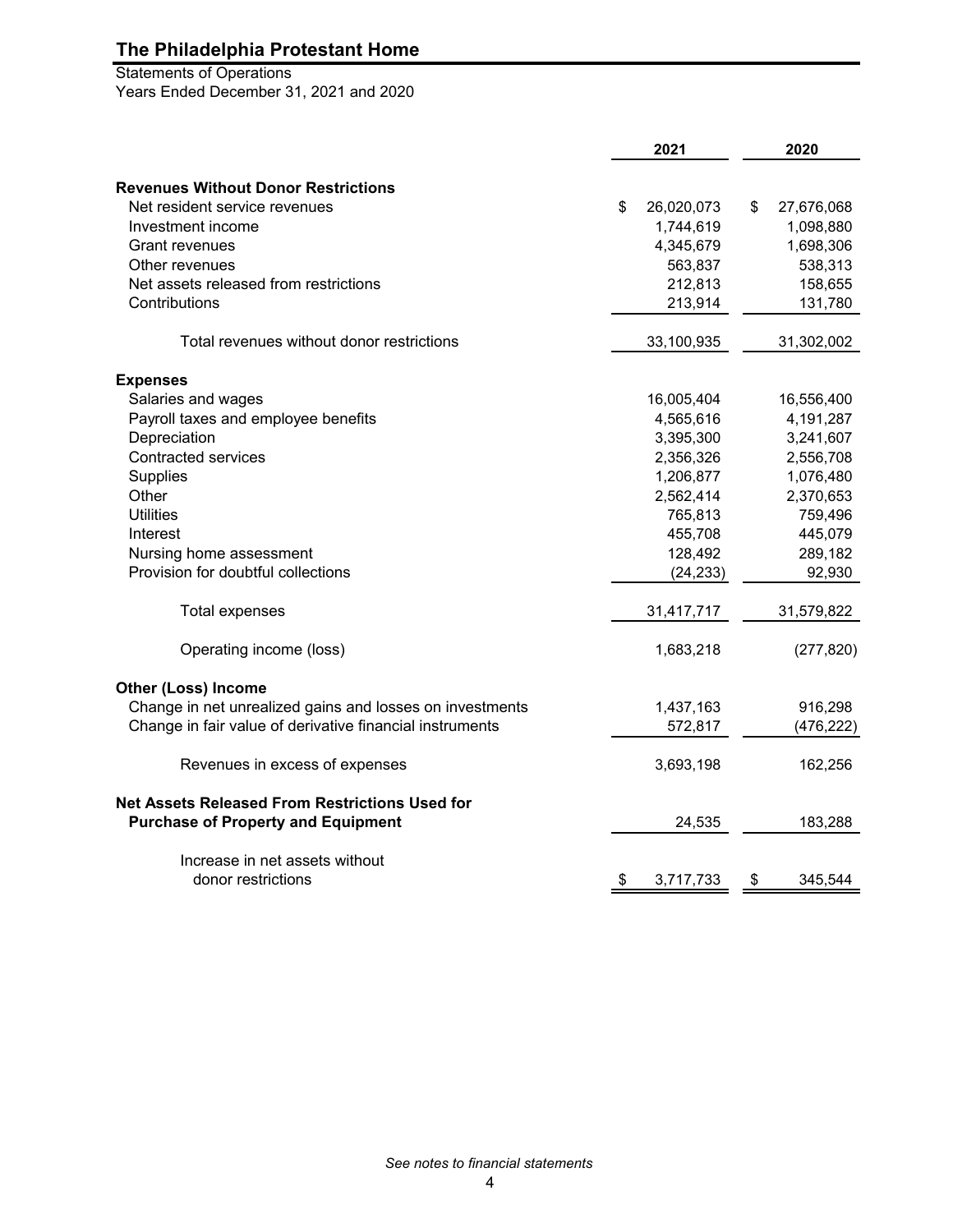#### Statements of Operations

Years Ended December 31, 2021 and 2020

|                                                          | 2021 |            |    | 2020       |
|----------------------------------------------------------|------|------------|----|------------|
|                                                          |      |            |    |            |
| <b>Revenues Without Donor Restrictions</b>               |      |            |    |            |
| Net resident service revenues                            | \$   | 26,020,073 | \$ | 27,676,068 |
| Investment income                                        |      | 1,744,619  |    | 1,098,880  |
| <b>Grant revenues</b>                                    |      | 4,345,679  |    | 1,698,306  |
| Other revenues                                           |      | 563,837    |    | 538,313    |
| Net assets released from restrictions                    |      | 212,813    |    | 158,655    |
| Contributions                                            |      | 213,914    |    | 131,780    |
| Total revenues without donor restrictions                |      | 33,100,935 |    | 31,302,002 |
| <b>Expenses</b>                                          |      |            |    |            |
| Salaries and wages                                       |      | 16,005,404 |    | 16,556,400 |
| Payroll taxes and employee benefits                      |      | 4,565,616  |    | 4,191,287  |
| Depreciation                                             |      | 3,395,300  |    | 3,241,607  |
| <b>Contracted services</b>                               |      | 2,356,326  |    | 2,556,708  |
| Supplies                                                 |      | 1,206,877  |    | 1,076,480  |
| Other                                                    |      | 2,562,414  |    | 2,370,653  |
| <b>Utilities</b>                                         |      | 765,813    |    | 759,496    |
| Interest                                                 |      | 455,708    |    | 445,079    |
| Nursing home assessment                                  |      | 128,492    |    | 289,182    |
| Provision for doubtful collections                       |      | (24, 233)  |    | 92,930     |
| Total expenses                                           |      | 31,417,717 |    | 31,579,822 |
|                                                          |      |            |    |            |
| Operating income (loss)                                  |      | 1,683,218  |    | (277, 820) |
| <b>Other (Loss) Income</b>                               |      |            |    |            |
| Change in net unrealized gains and losses on investments |      | 1,437,163  |    | 916,298    |
| Change in fair value of derivative financial instruments |      | 572,817    |    | (476, 222) |
| Revenues in excess of expenses                           |      | 3,693,198  |    | 162,256    |
| <b>Net Assets Released From Restrictions Used for</b>    |      |            |    |            |
| <b>Purchase of Property and Equipment</b>                |      | 24,535     |    | 183,288    |
| Increase in net assets without                           |      |            |    |            |
| donor restrictions                                       | \$   | 3,717,733  | \$ | 345,544    |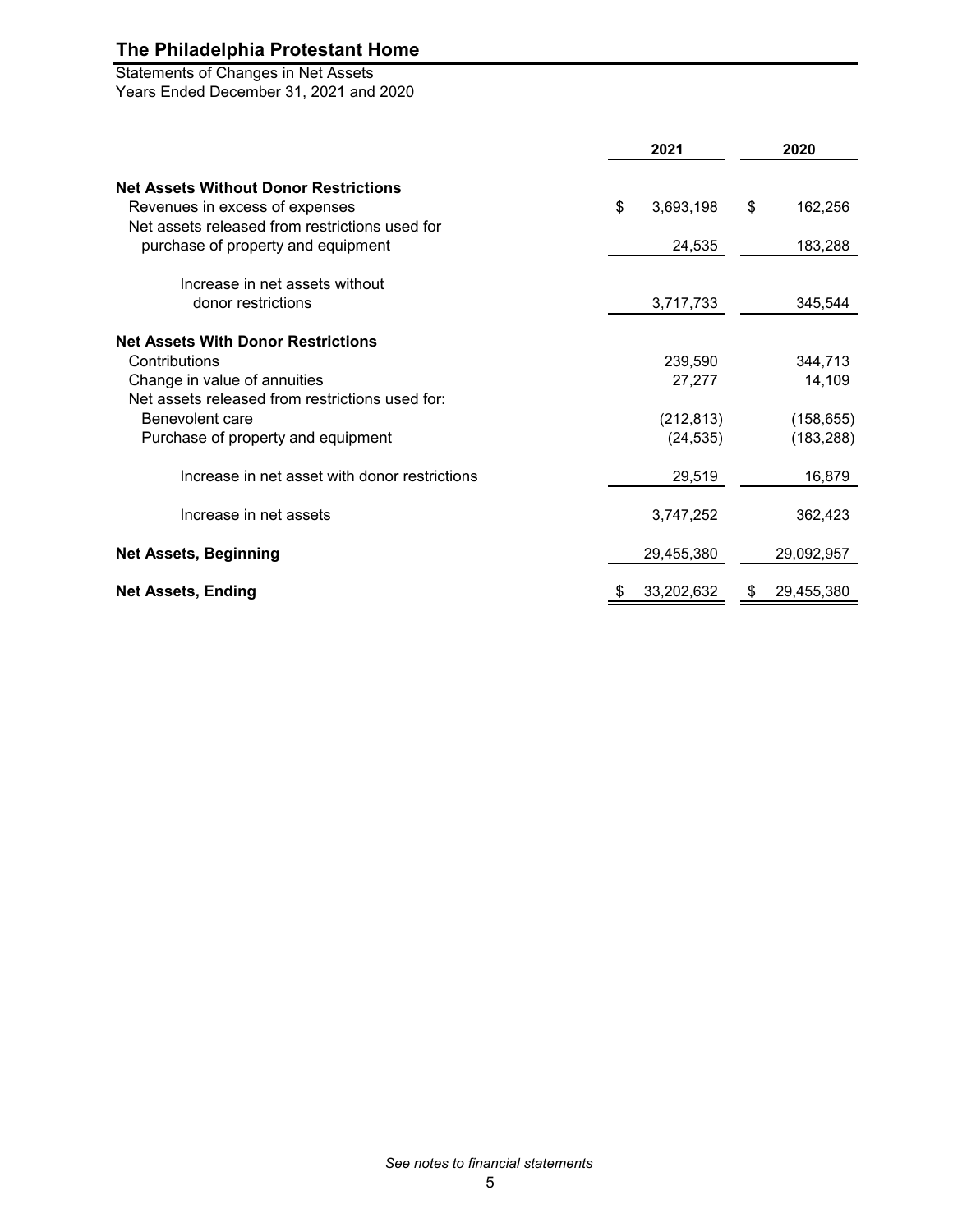#### Statements of Changes in Net Assets Years Ended December 31, 2021 and 2020

|                                                                                                                                                                        | 2021 |                         |    | 2020                     |  |  |
|------------------------------------------------------------------------------------------------------------------------------------------------------------------------|------|-------------------------|----|--------------------------|--|--|
| <b>Net Assets Without Donor Restrictions</b><br>Revenues in excess of expenses<br>Net assets released from restrictions used for<br>purchase of property and equipment | \$   | 3,693,198<br>24,535     | \$ | 162,256<br>183,288       |  |  |
| Increase in net assets without<br>donor restrictions                                                                                                                   |      | 3,717,733               |    | 345,544                  |  |  |
| <b>Net Assets With Donor Restrictions</b><br>Contributions<br>Change in value of annuities<br>Net assets released from restrictions used for:<br>Benevolent care       |      | 239,590<br>27,277       |    | 344,713<br>14,109        |  |  |
| Purchase of property and equipment                                                                                                                                     |      | (212, 813)<br>(24, 535) |    | (158, 655)<br>(183, 288) |  |  |
| Increase in net asset with donor restrictions<br>Increase in net assets                                                                                                |      | 29,519<br>3,747,252     |    | 16,879<br>362,423        |  |  |
| <b>Net Assets, Beginning</b>                                                                                                                                           |      | 29,455,380              |    | 29,092,957               |  |  |
| <b>Net Assets, Ending</b>                                                                                                                                              |      | 33,202,632              | S  | 29,455,380               |  |  |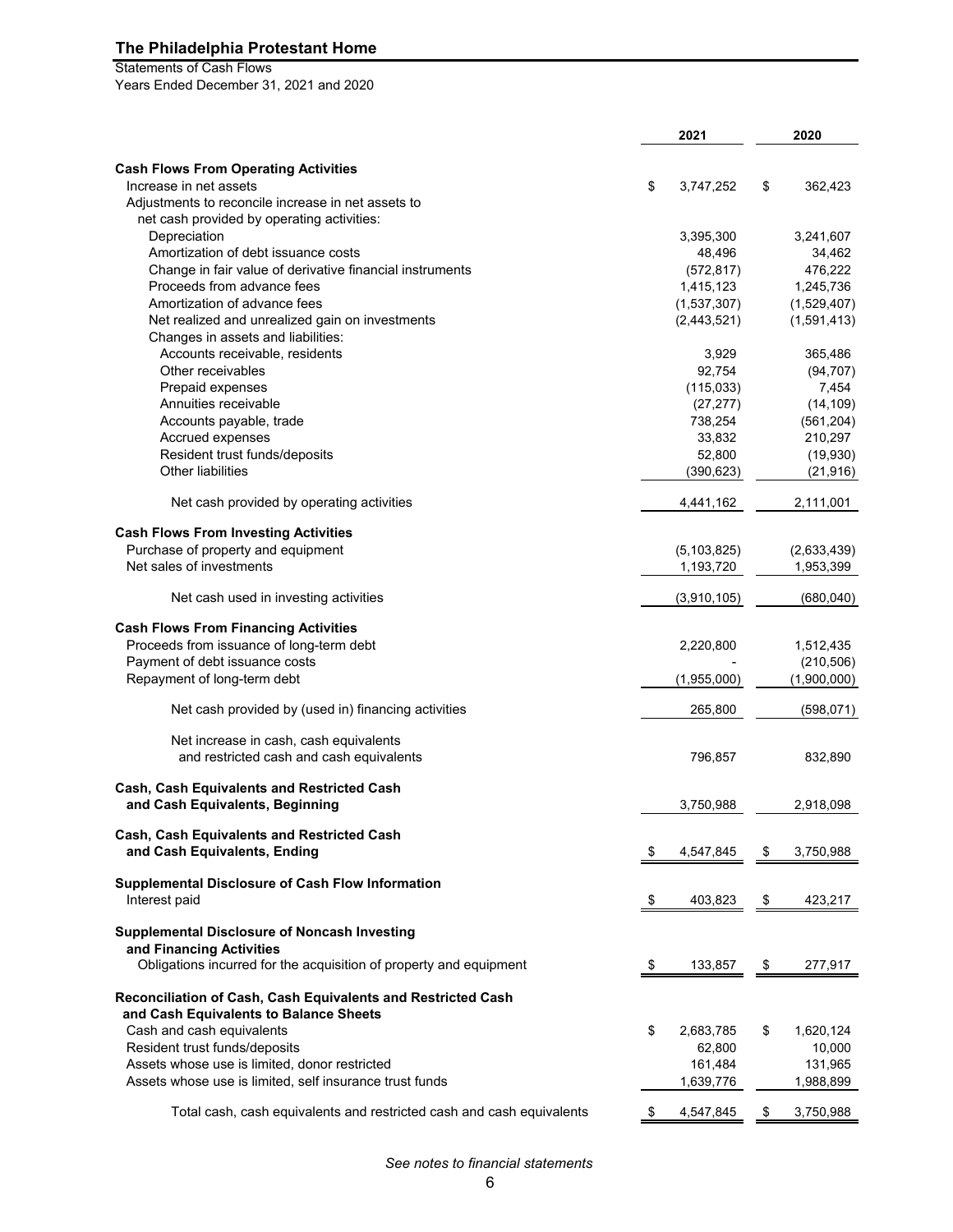Statements of Cash Flows

Years Ended December 31, 2021 and 2020

|                                                                       | 2021            | 2020            |
|-----------------------------------------------------------------------|-----------------|-----------------|
| <b>Cash Flows From Operating Activities</b>                           |                 |                 |
| Increase in net assets                                                | \$<br>3,747,252 | \$<br>362,423   |
| Adjustments to reconcile increase in net assets to                    |                 |                 |
| net cash provided by operating activities:                            |                 |                 |
| Depreciation                                                          | 3,395,300       | 3,241,607       |
| Amortization of debt issuance costs                                   | 48,496          | 34,462          |
| Change in fair value of derivative financial instruments              | (572, 817)      | 476,222         |
| Proceeds from advance fees                                            |                 |                 |
| Amortization of advance fees                                          | 1,415,123       | 1,245,736       |
|                                                                       | (1,537,307)     | (1,529,407)     |
| Net realized and unrealized gain on investments                       | (2,443,521)     | (1,591,413)     |
| Changes in assets and liabilities:                                    |                 |                 |
| Accounts receivable, residents                                        | 3,929           | 365,486         |
| Other receivables                                                     | 92,754          | (94, 707)       |
| Prepaid expenses                                                      | (115, 033)      | 7,454           |
| Annuities receivable                                                  | (27, 277)       | (14, 109)       |
| Accounts payable, trade                                               | 738,254         | (561, 204)      |
| Accrued expenses                                                      | 33,832          | 210,297         |
| Resident trust funds/deposits                                         | 52,800          | (19,930)        |
| Other liabilities                                                     | (390, 623)      | (21, 916)       |
| Net cash provided by operating activities                             | 4,441,162       | 2,111,001       |
| <b>Cash Flows From Investing Activities</b>                           |                 |                 |
| Purchase of property and equipment                                    | (5, 103, 825)   | (2,633,439)     |
| Net sales of investments                                              | 1,193,720       | 1,953,399       |
| Net cash used in investing activities                                 | (3,910,105)     | (680, 040)      |
| <b>Cash Flows From Financing Activities</b>                           |                 |                 |
| Proceeds from issuance of long-term debt                              | 2,220,800       | 1,512,435       |
| Payment of debt issuance costs                                        |                 | (210, 506)      |
| Repayment of long-term debt                                           | (1,955,000)     | (1,900,000)     |
| Net cash provided by (used in) financing activities                   | 265,800         | (598, 071)      |
| Net increase in cash, cash equivalents                                |                 |                 |
| and restricted cash and cash equivalents                              | 796,857         | 832,890         |
| Cash, Cash Equivalents and Restricted Cash                            |                 |                 |
| and Cash Equivalents, Beginning                                       | 3,750,988       | 2,918,098       |
| Cash, Cash Equivalents and Restricted Cash                            |                 |                 |
| and Cash Equivalents, Ending                                          | \$<br>4,547,845 | \$<br>3,750,988 |
| Supplemental Disclosure of Cash Flow Information                      |                 |                 |
| Interest paid                                                         | \$<br>403,823   | \$<br>423,217   |
| <b>Supplemental Disclosure of Noncash Investing</b>                   |                 |                 |
| and Financing Activities                                              |                 |                 |
| Obligations incurred for the acquisition of property and equipment    | \$<br>133,857   | \$<br>277,917   |
| Reconciliation of Cash, Cash Equivalents and Restricted Cash          |                 |                 |
| and Cash Equivalents to Balance Sheets                                |                 |                 |
| Cash and cash equivalents                                             | \$<br>2,683,785 | \$<br>1,620,124 |
| Resident trust funds/deposits                                         | 62,800          | 10,000          |
| Assets whose use is limited, donor restricted                         | 161,484         | 131,965         |
| Assets whose use is limited, self insurance trust funds               | 1,639,776       | 1,988,899       |
|                                                                       |                 |                 |
| Total cash, cash equivalents and restricted cash and cash equivalents | \$<br>4,547,845 | \$<br>3,750,988 |

*See notes to financial statements*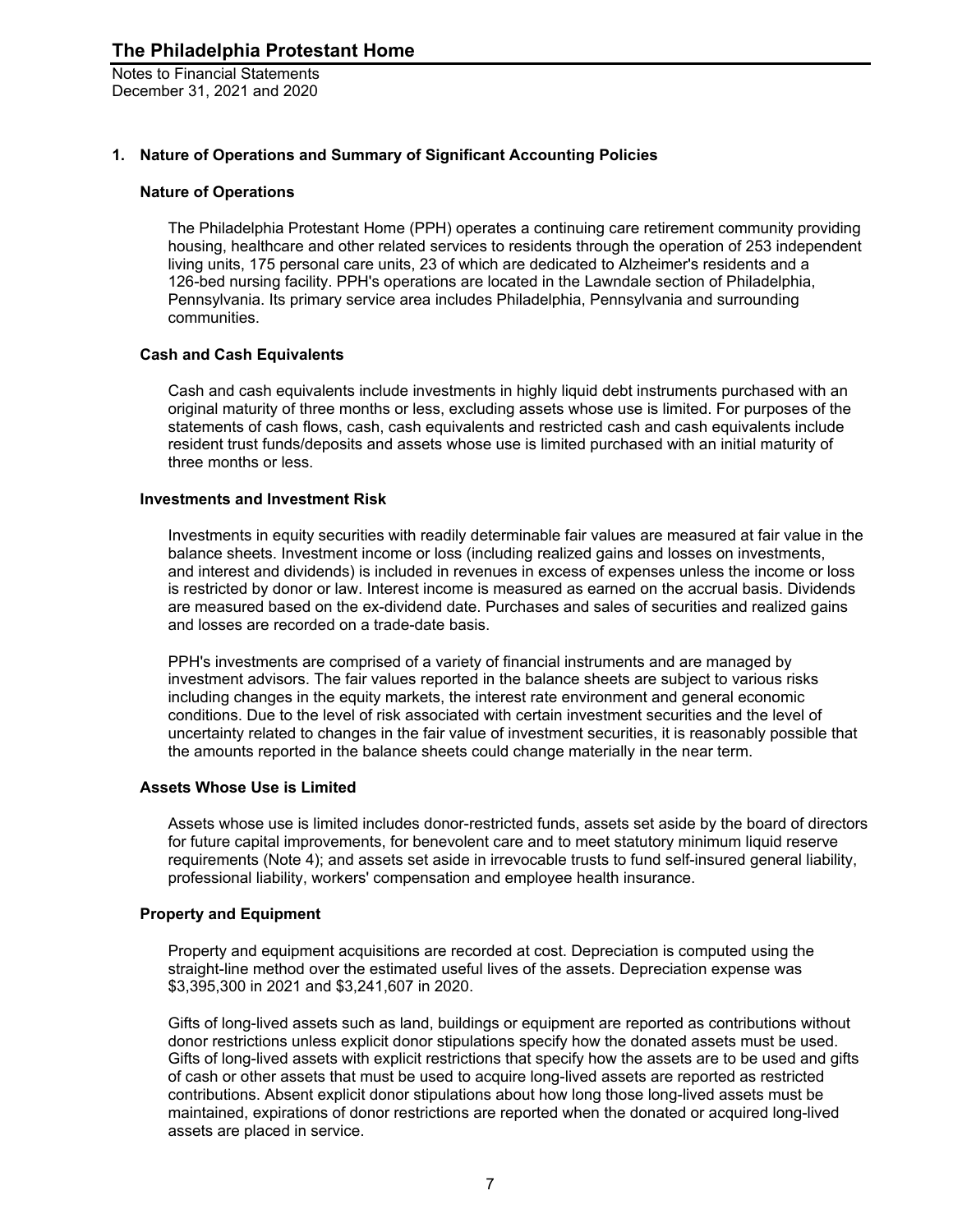Notes to Financial Statements December 31, 2021 and 2020

#### **1. Nature of Operations and Summary of Significant Accounting Policies**

#### **Nature of Operations**

The Philadelphia Protestant Home (PPH) operates a continuing care retirement community providing housing, healthcare and other related services to residents through the operation of 253 independent living units, 175 personal care units, 23 of which are dedicated to Alzheimer's residents and a 126-bed nursing facility. PPH's operations are located in the Lawndale section of Philadelphia, Pennsylvania. Its primary service area includes Philadelphia, Pennsylvania and surrounding communities.

#### **Cash and Cash Equivalents**

Cash and cash equivalents include investments in highly liquid debt instruments purchased with an original maturity of three months or less, excluding assets whose use is limited. For purposes of the statements of cash flows, cash, cash equivalents and restricted cash and cash equivalents include resident trust funds/deposits and assets whose use is limited purchased with an initial maturity of three months or less.

#### **Investments and Investment Risk**

Investments in equity securities with readily determinable fair values are measured at fair value in the balance sheets. Investment income or loss (including realized gains and losses on investments, and interest and dividends) is included in revenues in excess of expenses unless the income or loss is restricted by donor or law. Interest income is measured as earned on the accrual basis. Dividends are measured based on the ex-dividend date. Purchases and sales of securities and realized gains and losses are recorded on a trade-date basis.

PPH's investments are comprised of a variety of financial instruments and are managed by investment advisors. The fair values reported in the balance sheets are subject to various risks including changes in the equity markets, the interest rate environment and general economic conditions. Due to the level of risk associated with certain investment securities and the level of uncertainty related to changes in the fair value of investment securities, it is reasonably possible that the amounts reported in the balance sheets could change materially in the near term.

#### **Assets Whose Use is Limited**

Assets whose use is limited includes donor-restricted funds, assets set aside by the board of directors for future capital improvements, for benevolent care and to meet statutory minimum liquid reserve requirements (Note 4); and assets set aside in irrevocable trusts to fund self-insured general liability, professional liability, workers' compensation and employee health insurance.

#### **Property and Equipment**

Property and equipment acquisitions are recorded at cost. Depreciation is computed using the straight-line method over the estimated useful lives of the assets. Depreciation expense was \$3,395,300 in 2021 and \$3,241,607 in 2020.

Gifts of long-lived assets such as land, buildings or equipment are reported as contributions without donor restrictions unless explicit donor stipulations specify how the donated assets must be used. Gifts of long-lived assets with explicit restrictions that specify how the assets are to be used and gifts of cash or other assets that must be used to acquire long-lived assets are reported as restricted contributions. Absent explicit donor stipulations about how long those long-lived assets must be maintained, expirations of donor restrictions are reported when the donated or acquired long-lived assets are placed in service.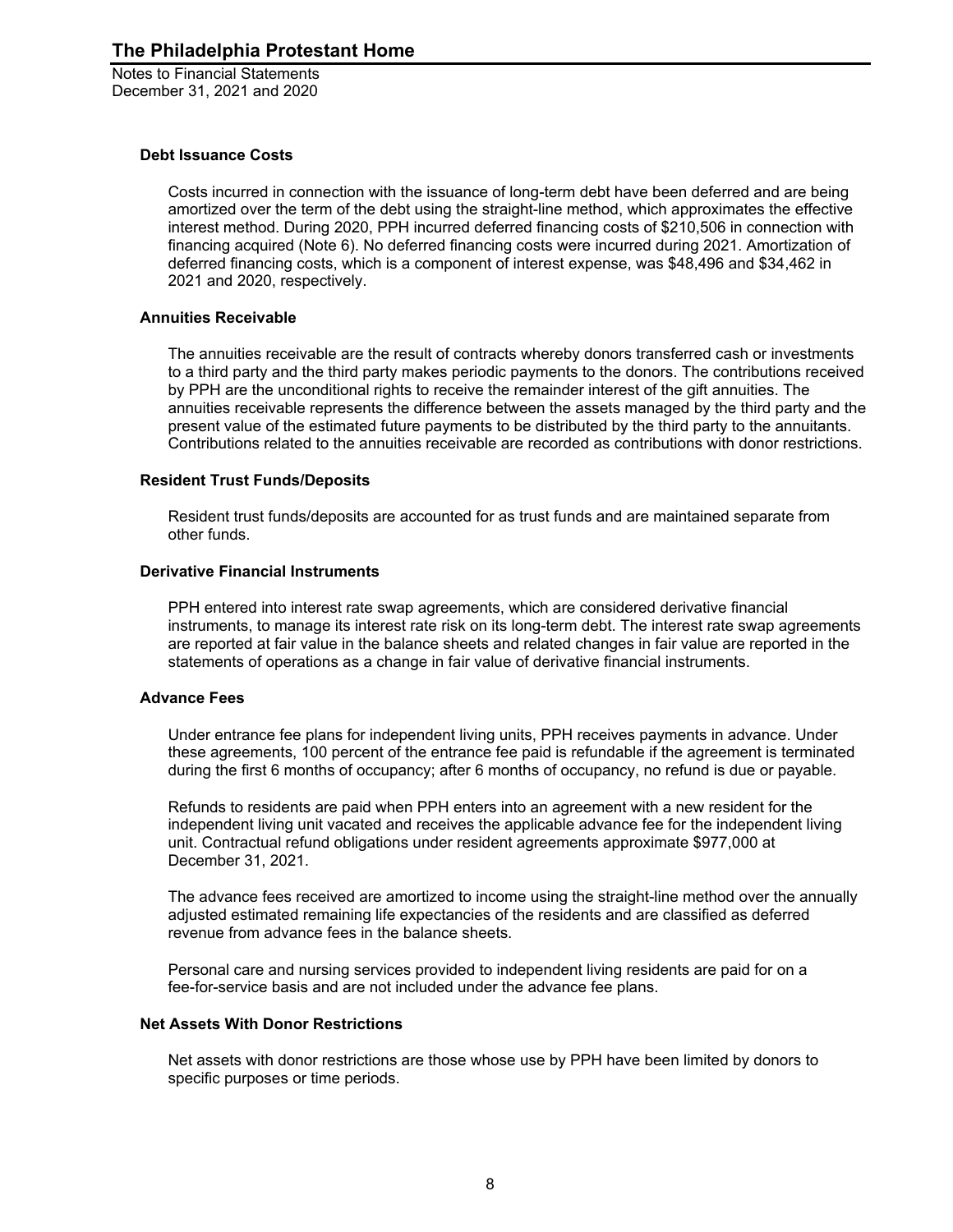#### **Debt Issuance Costs**

Costs incurred in connection with the issuance of long-term debt have been deferred and are being amortized over the term of the debt using the straight-line method, which approximates the effective interest method. During 2020, PPH incurred deferred financing costs of \$210,506 in connection with financing acquired (Note 6). No deferred financing costs were incurred during 2021. Amortization of deferred financing costs, which is a component of interest expense, was \$48,496 and \$34,462 in 2021 and 2020, respectively.

#### **Annuities Receivable**

The annuities receivable are the result of contracts whereby donors transferred cash or investments to a third party and the third party makes periodic payments to the donors. The contributions received by PPH are the unconditional rights to receive the remainder interest of the gift annuities. The annuities receivable represents the difference between the assets managed by the third party and the present value of the estimated future payments to be distributed by the third party to the annuitants. Contributions related to the annuities receivable are recorded as contributions with donor restrictions.

#### **Resident Trust Funds/Deposits**

Resident trust funds/deposits are accounted for as trust funds and are maintained separate from other funds.

#### **Derivative Financial Instruments**

PPH entered into interest rate swap agreements, which are considered derivative financial instruments, to manage its interest rate risk on its long-term debt. The interest rate swap agreements are reported at fair value in the balance sheets and related changes in fair value are reported in the statements of operations as a change in fair value of derivative financial instruments.

#### **Advance Fees**

Under entrance fee plans for independent living units, PPH receives payments in advance. Under these agreements, 100 percent of the entrance fee paid is refundable if the agreement is terminated during the first 6 months of occupancy; after 6 months of occupancy, no refund is due or payable.

Refunds to residents are paid when PPH enters into an agreement with a new resident for the independent living unit vacated and receives the applicable advance fee for the independent living unit. Contractual refund obligations under resident agreements approximate \$977,000 at December 31, 2021.

The advance fees received are amortized to income using the straight-line method over the annually adjusted estimated remaining life expectancies of the residents and are classified as deferred revenue from advance fees in the balance sheets.

Personal care and nursing services provided to independent living residents are paid for on a fee-for-service basis and are not included under the advance fee plans.

#### **Net Assets With Donor Restrictions**

Net assets with donor restrictions are those whose use by PPH have been limited by donors to specific purposes or time periods.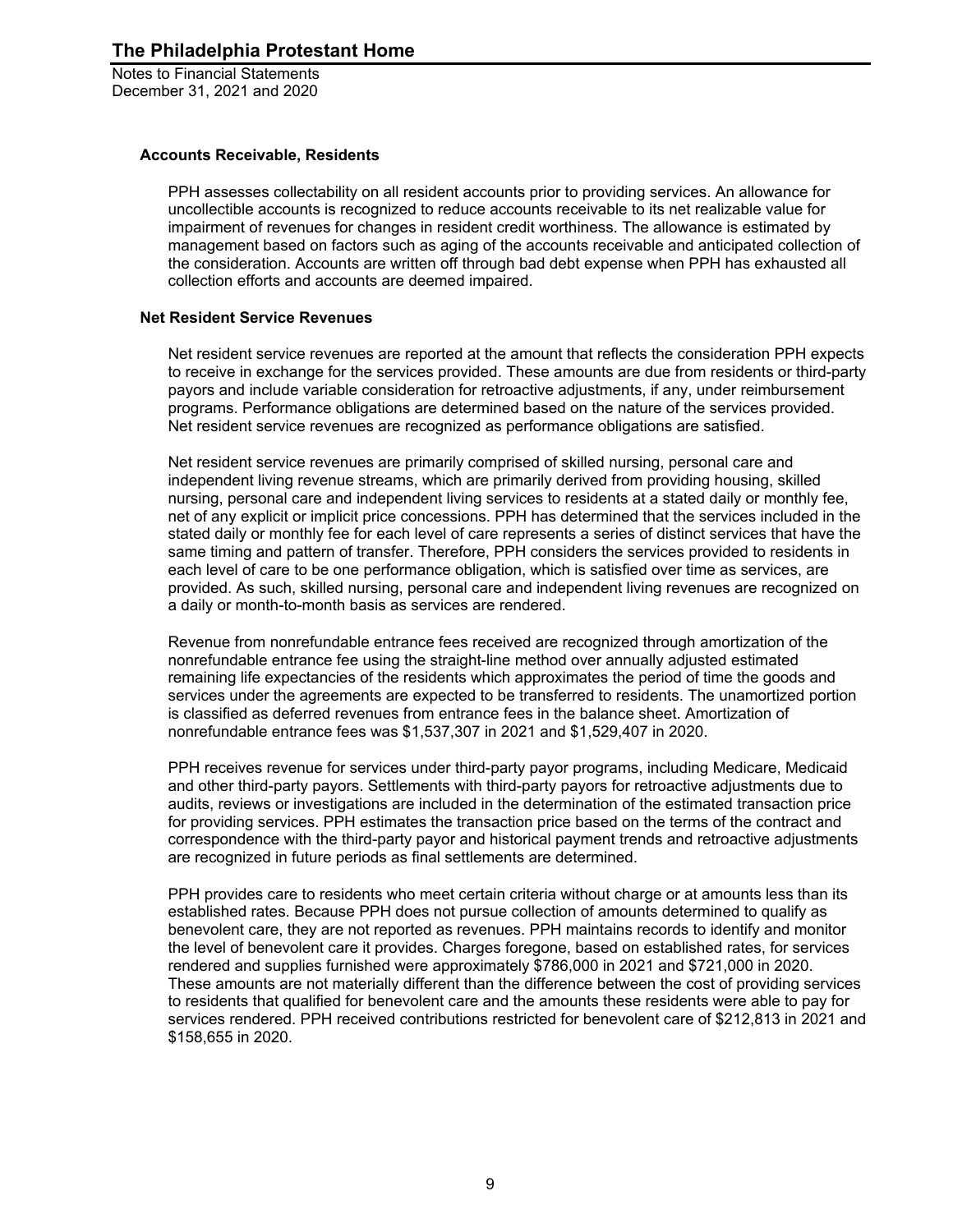#### **Accounts Receivable, Residents**

PPH assesses collectability on all resident accounts prior to providing services. An allowance for uncollectible accounts is recognized to reduce accounts receivable to its net realizable value for impairment of revenues for changes in resident credit worthiness. The allowance is estimated by management based on factors such as aging of the accounts receivable and anticipated collection of the consideration. Accounts are written off through bad debt expense when PPH has exhausted all collection efforts and accounts are deemed impaired.

#### **Net Resident Service Revenues**

Net resident service revenues are reported at the amount that reflects the consideration PPH expects to receive in exchange for the services provided. These amounts are due from residents or third-party payors and include variable consideration for retroactive adjustments, if any, under reimbursement programs. Performance obligations are determined based on the nature of the services provided. Net resident service revenues are recognized as performance obligations are satisfied.

Net resident service revenues are primarily comprised of skilled nursing, personal care and independent living revenue streams, which are primarily derived from providing housing, skilled nursing, personal care and independent living services to residents at a stated daily or monthly fee, net of any explicit or implicit price concessions. PPH has determined that the services included in the stated daily or monthly fee for each level of care represents a series of distinct services that have the same timing and pattern of transfer. Therefore, PPH considers the services provided to residents in each level of care to be one performance obligation, which is satisfied over time as services, are provided. As such, skilled nursing, personal care and independent living revenues are recognized on a daily or month-to-month basis as services are rendered.

Revenue from nonrefundable entrance fees received are recognized through amortization of the nonrefundable entrance fee using the straight-line method over annually adjusted estimated remaining life expectancies of the residents which approximates the period of time the goods and services under the agreements are expected to be transferred to residents. The unamortized portion is classified as deferred revenues from entrance fees in the balance sheet. Amortization of nonrefundable entrance fees was \$1,537,307 in 2021 and \$1,529,407 in 2020.

PPH receives revenue for services under third-party payor programs, including Medicare, Medicaid and other third-party payors. Settlements with third-party payors for retroactive adjustments due to audits, reviews or investigations are included in the determination of the estimated transaction price for providing services. PPH estimates the transaction price based on the terms of the contract and correspondence with the third-party payor and historical payment trends and retroactive adjustments are recognized in future periods as final settlements are determined.

PPH provides care to residents who meet certain criteria without charge or at amounts less than its established rates. Because PPH does not pursue collection of amounts determined to qualify as benevolent care, they are not reported as revenues. PPH maintains records to identify and monitor the level of benevolent care it provides. Charges foregone, based on established rates, for services rendered and supplies furnished were approximately \$786,000 in 2021 and \$721,000 in 2020. These amounts are not materially different than the difference between the cost of providing services to residents that qualified for benevolent care and the amounts these residents were able to pay for services rendered. PPH received contributions restricted for benevolent care of \$212,813 in 2021 and \$158,655 in 2020.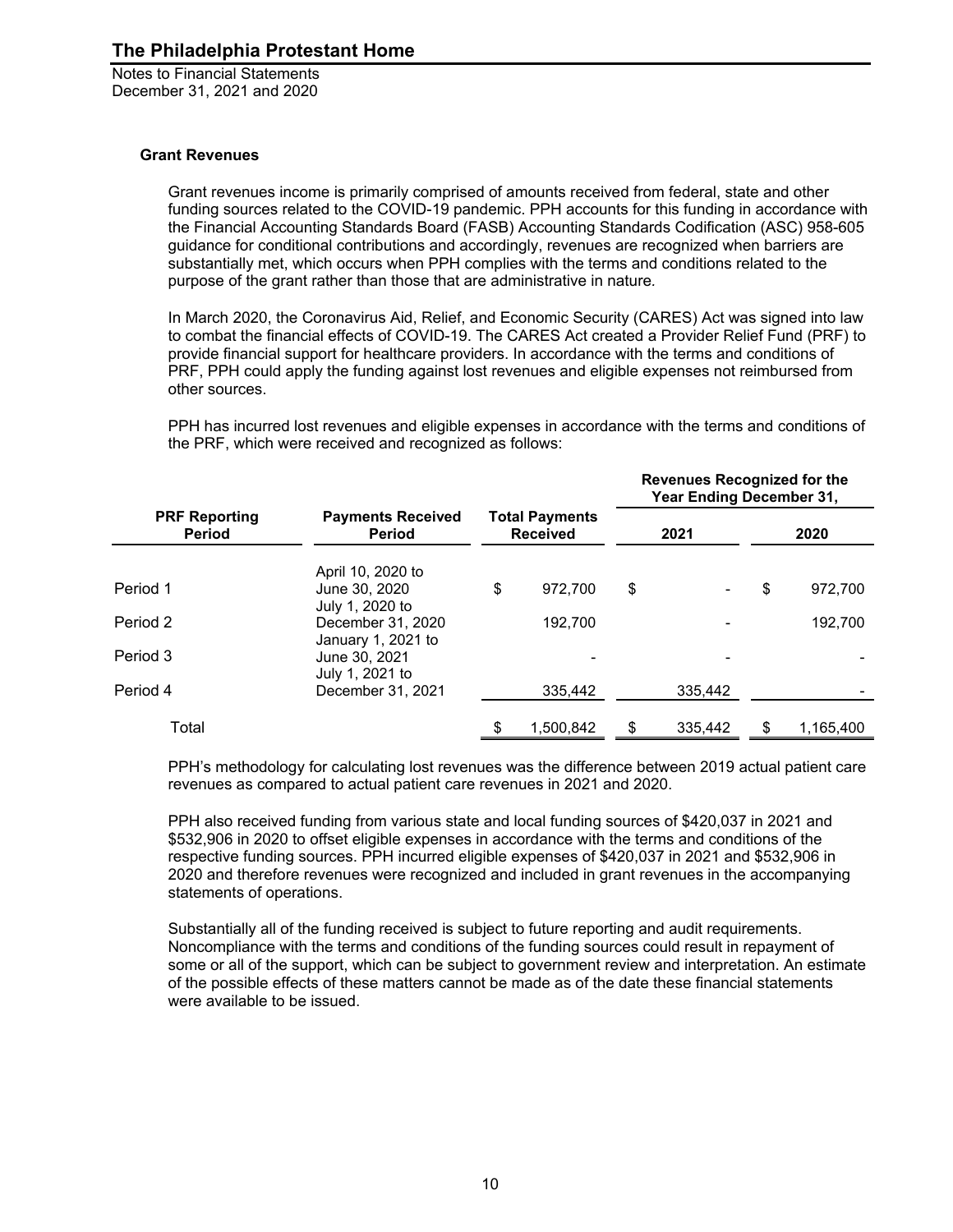#### **Grant Revenues**

Grant revenues income is primarily comprised of amounts received from federal, state and other funding sources related to the COVID-19 pandemic. PPH accounts for this funding in accordance with the Financial Accounting Standards Board (FASB) Accounting Standards Codification (ASC) 958-605 guidance for conditional contributions and accordingly, revenues are recognized when barriers are substantially met, which occurs when PPH complies with the terms and conditions related to the purpose of the grant rather than those that are administrative in nature*.*

In March 2020, the Coronavirus Aid, Relief, and Economic Security (CARES) Act was signed into law to combat the financial effects of COVID-19. The CARES Act created a Provider Relief Fund (PRF) to provide financial support for healthcare providers. In accordance with the terms and conditions of PRF, PPH could apply the funding against lost revenues and eligible expenses not reimbursed from other sources.

PPH has incurred lost revenues and eligible expenses in accordance with the terms and conditions of the PRF, which were received and recognized as follows:

|                                       |                                           |                                          |           | <b>Revenues Recognized for the</b><br><b>Year Ending December 31,</b> |                 |
|---------------------------------------|-------------------------------------------|------------------------------------------|-----------|-----------------------------------------------------------------------|-----------------|
| <b>PRF Reporting</b><br><b>Period</b> | <b>Payments Received</b><br><b>Period</b> | <b>Total Payments</b><br><b>Received</b> |           | 2021                                                                  | 2020            |
|                                       | April 10, 2020 to                         |                                          |           |                                                                       |                 |
| Period 1                              | June 30, 2020<br>July 1, 2020 to          | \$                                       | 972,700   | \$                                                                    | \$<br>972.700   |
| Period 2                              | December 31, 2020<br>January 1, 2021 to   |                                          | 192.700   |                                                                       | 192.700         |
| Period 3                              | June 30, 2021<br>July 1, 2021 to          |                                          |           |                                                                       |                 |
| Period 4                              | December 31, 2021                         |                                          | 335.442   | 335,442                                                               |                 |
| Total                                 |                                           | \$                                       | 1,500,842 | 335,442                                                               | \$<br>1,165,400 |

PPH's methodology for calculating lost revenues was the difference between 2019 actual patient care revenues as compared to actual patient care revenues in 2021 and 2020.

PPH also received funding from various state and local funding sources of \$420,037 in 2021 and \$532,906 in 2020 to offset eligible expenses in accordance with the terms and conditions of the respective funding sources. PPH incurred eligible expenses of \$420,037 in 2021 and \$532,906 in 2020 and therefore revenues were recognized and included in grant revenues in the accompanying statements of operations.

Substantially all of the funding received is subject to future reporting and audit requirements. Noncompliance with the terms and conditions of the funding sources could result in repayment of some or all of the support, which can be subject to government review and interpretation. An estimate of the possible effects of these matters cannot be made as of the date these financial statements were available to be issued.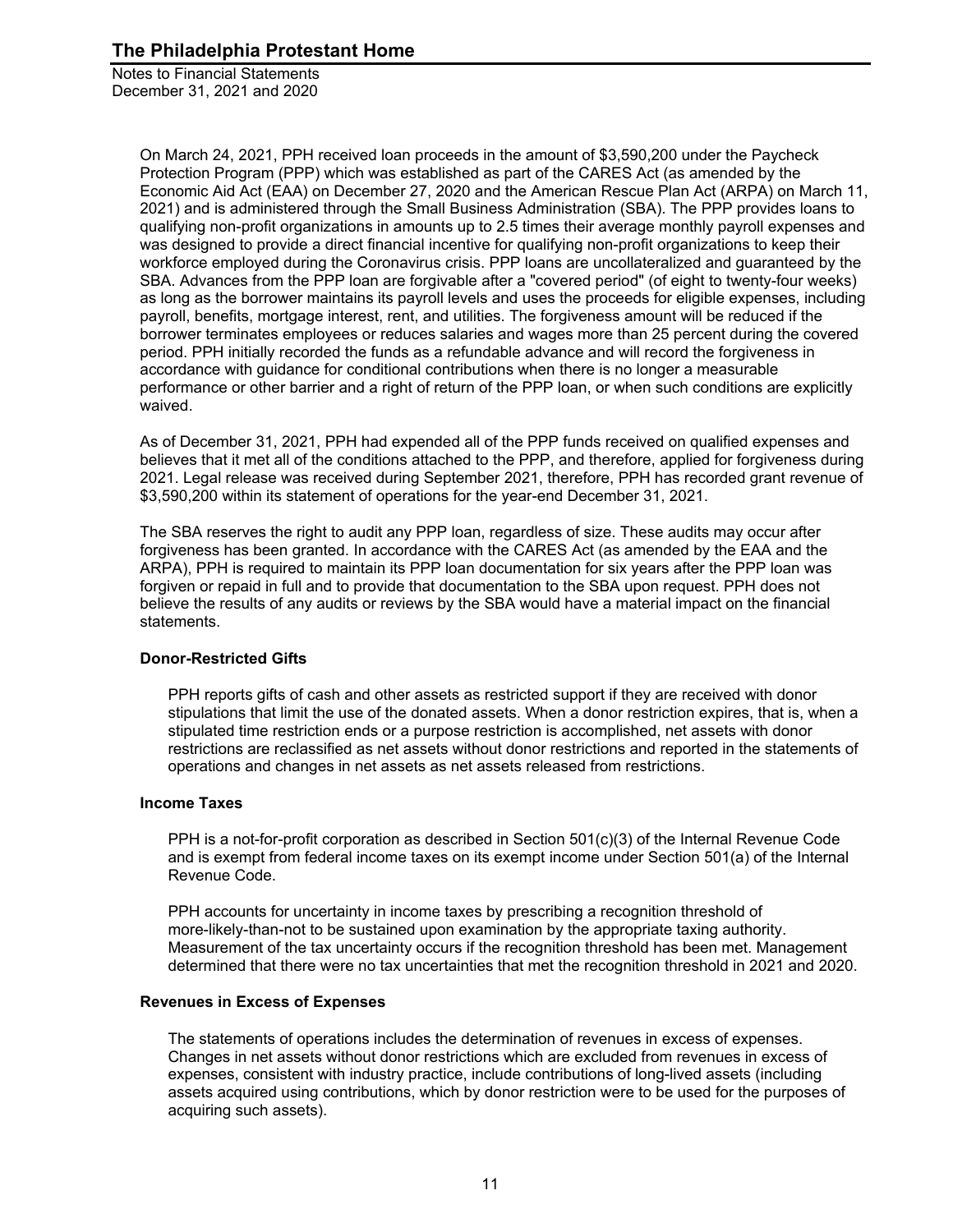> On March 24, 2021, PPH received loan proceeds in the amount of \$3,590,200 under the Paycheck Protection Program (PPP) which was established as part of the CARES Act (as amended by the Economic Aid Act (EAA) on December 27, 2020 and the American Rescue Plan Act (ARPA) on March 11, 2021) and is administered through the Small Business Administration (SBA). The PPP provides loans to qualifying non-profit organizations in amounts up to 2.5 times their average monthly payroll expenses and was designed to provide a direct financial incentive for qualifying non-profit organizations to keep their workforce employed during the Coronavirus crisis. PPP loans are uncollateralized and guaranteed by the SBA. Advances from the PPP loan are forgivable after a "covered period" (of eight to twenty-four weeks) as long as the borrower maintains its payroll levels and uses the proceeds for eligible expenses, including payroll, benefits, mortgage interest, rent, and utilities. The forgiveness amount will be reduced if the borrower terminates employees or reduces salaries and wages more than 25 percent during the covered period. PPH initially recorded the funds as a refundable advance and will record the forgiveness in accordance with guidance for conditional contributions when there is no longer a measurable performance or other barrier and a right of return of the PPP loan, or when such conditions are explicitly waived.

> As of December 31, 2021, PPH had expended all of the PPP funds received on qualified expenses and believes that it met all of the conditions attached to the PPP, and therefore, applied for forgiveness during 2021. Legal release was received during September 2021, therefore, PPH has recorded grant revenue of \$3,590,200 within its statement of operations for the year-end December 31, 2021.

The SBA reserves the right to audit any PPP loan, regardless of size. These audits may occur after forgiveness has been granted. In accordance with the CARES Act (as amended by the EAA and the ARPA), PPH is required to maintain its PPP loan documentation for six years after the PPP loan was forgiven or repaid in full and to provide that documentation to the SBA upon request. PPH does not believe the results of any audits or reviews by the SBA would have a material impact on the financial statements.

#### **Donor-Restricted Gifts**

PPH reports gifts of cash and other assets as restricted support if they are received with donor stipulations that limit the use of the donated assets. When a donor restriction expires, that is, when a stipulated time restriction ends or a purpose restriction is accomplished, net assets with donor restrictions are reclassified as net assets without donor restrictions and reported in the statements of operations and changes in net assets as net assets released from restrictions.

#### **Income Taxes**

PPH is a not-for-profit corporation as described in Section 501(c)(3) of the Internal Revenue Code and is exempt from federal income taxes on its exempt income under Section 501(a) of the Internal Revenue Code.

PPH accounts for uncertainty in income taxes by prescribing a recognition threshold of more-likely-than-not to be sustained upon examination by the appropriate taxing authority. Measurement of the tax uncertainty occurs if the recognition threshold has been met. Management determined that there were no tax uncertainties that met the recognition threshold in 2021 and 2020.

#### **Revenues in Excess of Expenses**

The statements of operations includes the determination of revenues in excess of expenses. Changes in net assets without donor restrictions which are excluded from revenues in excess of expenses, consistent with industry practice, include contributions of long-lived assets (including assets acquired using contributions, which by donor restriction were to be used for the purposes of acquiring such assets).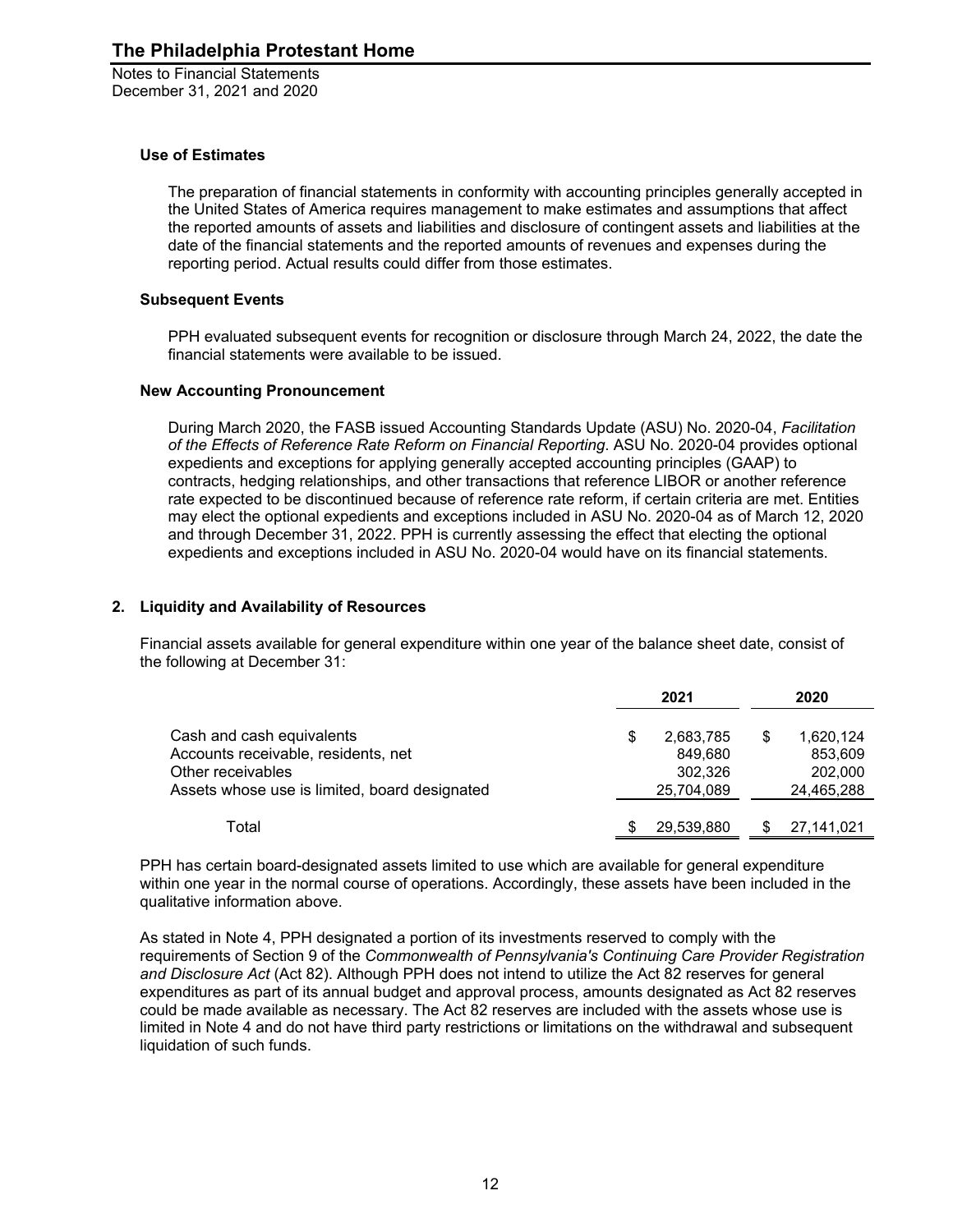#### **Use of Estimates**

The preparation of financial statements in conformity with accounting principles generally accepted in the United States of America requires management to make estimates and assumptions that affect the reported amounts of assets and liabilities and disclosure of contingent assets and liabilities at the date of the financial statements and the reported amounts of revenues and expenses during the reporting period. Actual results could differ from those estimates.

#### **Subsequent Events**

PPH evaluated subsequent events for recognition or disclosure through March 24, 2022, the date the financial statements were available to be issued.

#### **New Accounting Pronouncement**

During March 2020, the FASB issued Accounting Standards Update (ASU) No. 2020-04, *Facilitation of the Effects of Reference Rate Reform on Financial Reporting*. ASU No. 2020-04 provides optional expedients and exceptions for applying generally accepted accounting principles (GAAP) to contracts, hedging relationships, and other transactions that reference LIBOR or another reference rate expected to be discontinued because of reference rate reform, if certain criteria are met. Entities may elect the optional expedients and exceptions included in ASU No. 2020-04 as of March 12, 2020 and through December 31, 2022. PPH is currently assessing the effect that electing the optional expedients and exceptions included in ASU No. 2020-04 would have on its financial statements.

#### **2. Liquidity and Availability of Resources**

Financial assets available for general expenditure within one year of the balance sheet date, consist of the following at December 31:

|                                               | 2021       |   | 2020       |
|-----------------------------------------------|------------|---|------------|
| Cash and cash equivalents                     | 2,683,785  | S | 1.620.124  |
| Accounts receivable, residents, net           | 849,680    |   | 853,609    |
| Other receivables                             | 302.326    |   | 202,000    |
| Assets whose use is limited, board designated | 25,704,089 |   | 24,465,288 |
|                                               |            |   |            |
| Total                                         | 29.539.880 |   | 27,141,021 |

PPH has certain board-designated assets limited to use which are available for general expenditure within one year in the normal course of operations. Accordingly, these assets have been included in the qualitative information above.

As stated in Note 4, PPH designated a portion of its investments reserved to comply with the requirements of Section 9 of the *Commonwealth of Pennsylvania's Continuing Care Provider Registration and Disclosure Act* (Act 82). Although PPH does not intend to utilize the Act 82 reserves for general expenditures as part of its annual budget and approval process, amounts designated as Act 82 reserves could be made available as necessary. The Act 82 reserves are included with the assets whose use is limited in Note 4 and do not have third party restrictions or limitations on the withdrawal and subsequent liquidation of such funds.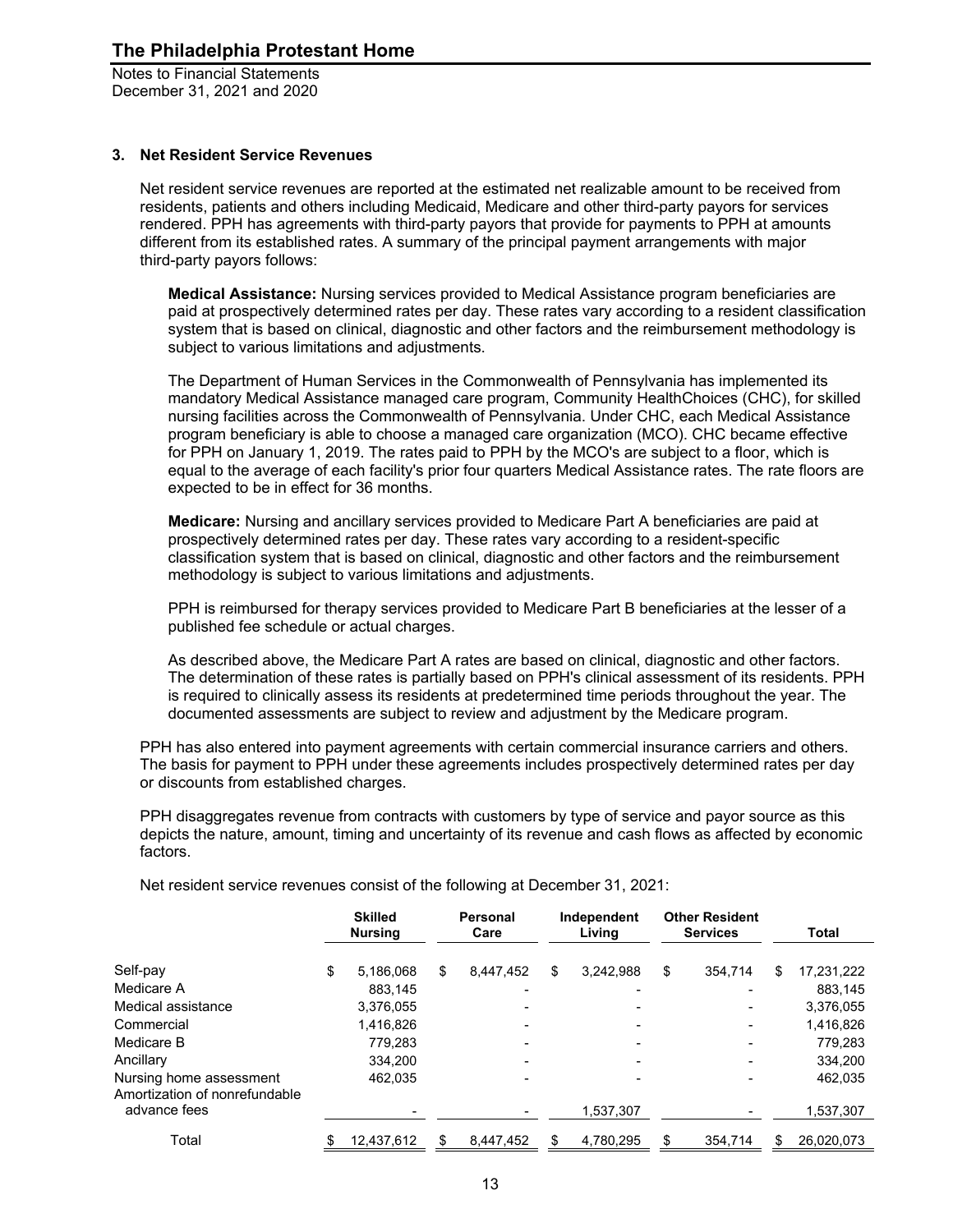#### **3. Net Resident Service Revenues**

Net resident service revenues are reported at the estimated net realizable amount to be received from residents, patients and others including Medicaid, Medicare and other third-party payors for services rendered. PPH has agreements with third-party payors that provide for payments to PPH at amounts different from its established rates. A summary of the principal payment arrangements with major third-party payors follows:

**Medical Assistance:** Nursing services provided to Medical Assistance program beneficiaries are paid at prospectively determined rates per day. These rates vary according to a resident classification system that is based on clinical, diagnostic and other factors and the reimbursement methodology is subject to various limitations and adjustments.

The Department of Human Services in the Commonwealth of Pennsylvania has implemented its mandatory Medical Assistance managed care program, Community HealthChoices (CHC), for skilled nursing facilities across the Commonwealth of Pennsylvania. Under CHC, each Medical Assistance program beneficiary is able to choose a managed care organization (MCO). CHC became effective for PPH on January 1, 2019. The rates paid to PPH by the MCO's are subject to a floor, which is equal to the average of each facility's prior four quarters Medical Assistance rates. The rate floors are expected to be in effect for 36 months.

**Medicare:** Nursing and ancillary services provided to Medicare Part A beneficiaries are paid at prospectively determined rates per day. These rates vary according to a resident-specific classification system that is based on clinical, diagnostic and other factors and the reimbursement methodology is subject to various limitations and adjustments.

PPH is reimbursed for therapy services provided to Medicare Part B beneficiaries at the lesser of a published fee schedule or actual charges.

As described above, the Medicare Part A rates are based on clinical, diagnostic and other factors. The determination of these rates is partially based on PPH's clinical assessment of its residents. PPH is required to clinically assess its residents at predetermined time periods throughout the year. The documented assessments are subject to review and adjustment by the Medicare program.

PPH has also entered into payment agreements with certain commercial insurance carriers and others. The basis for payment to PPH under these agreements includes prospectively determined rates per day or discounts from established charges.

PPH disaggregates revenue from contracts with customers by type of service and payor source as this depicts the nature, amount, timing and uncertainty of its revenue and cash flows as affected by economic factors.

|                                                          | <b>Skilled</b><br><b>Nursing</b> |    | Personal<br>Care | Independent<br>Living |    | <b>Other Resident</b><br><b>Services</b> | Total            |
|----------------------------------------------------------|----------------------------------|----|------------------|-----------------------|----|------------------------------------------|------------------|
| Self-pay                                                 | \$<br>5.186.068                  | \$ | 8.447.452        | \$<br>3.242.988       | \$ | 354.714                                  | \$<br>17,231,222 |
| Medicare A                                               | 883.145                          |    |                  |                       |    |                                          | 883,145          |
| Medical assistance                                       | 3.376.055                        |    |                  |                       |    |                                          | 3,376,055        |
| Commercial                                               | 1,416,826                        |    |                  |                       |    |                                          | 1,416,826        |
| Medicare B                                               | 779.283                          |    |                  |                       |    |                                          | 779,283          |
| Ancillary                                                | 334.200                          |    |                  |                       |    |                                          | 334.200          |
| Nursing home assessment<br>Amortization of nonrefundable | 462.035                          |    |                  |                       |    |                                          | 462.035          |
| advance fees                                             |                                  |    |                  | 1,537,307             |    |                                          | 1,537,307        |
| Total                                                    | 12,437,612                       | S  | 8,447,452        | 4,780,295             | S  | 354,714                                  | 26,020,073       |

Net resident service revenues consist of the following at December 31, 2021: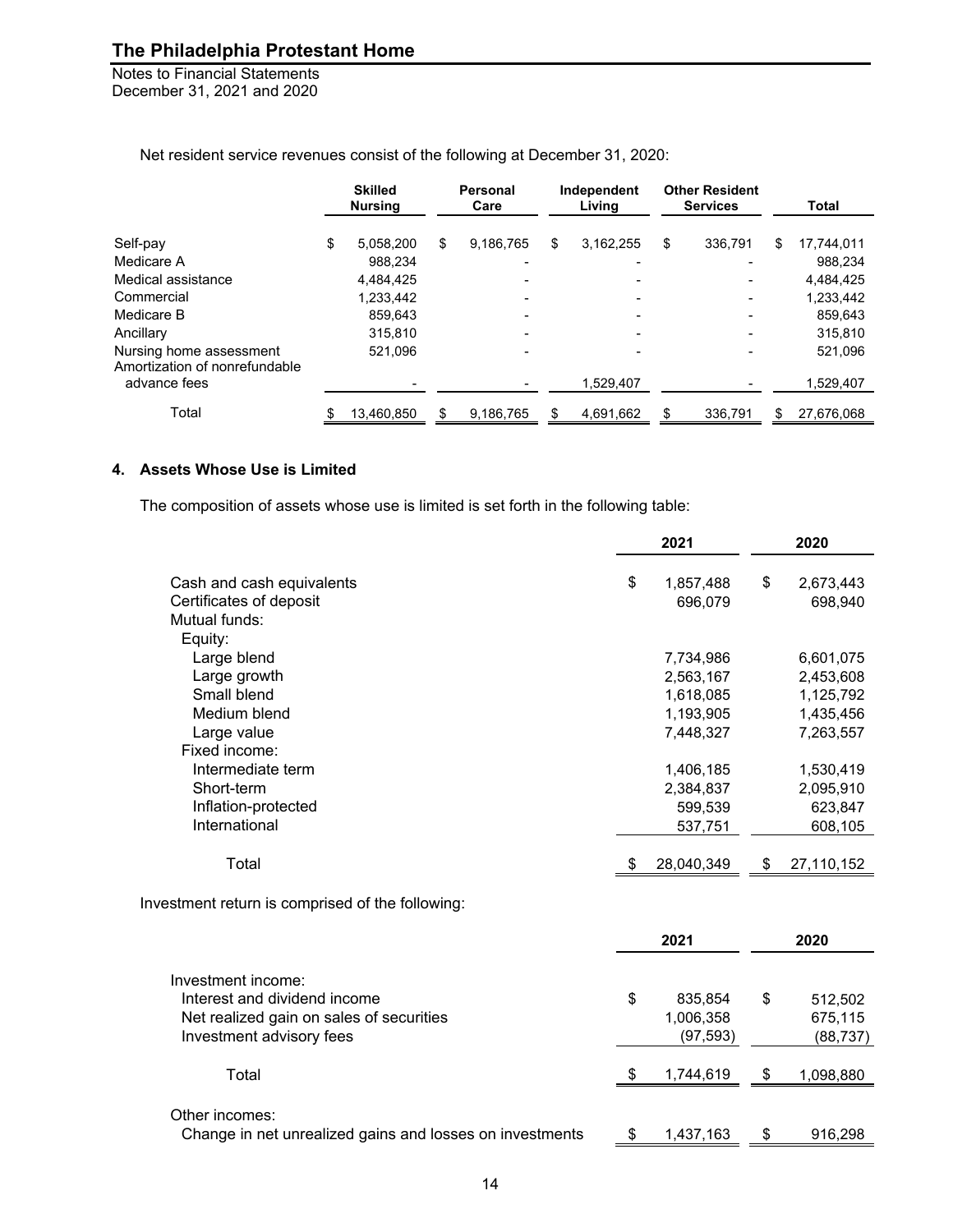Notes to Financial Statements December 31, 2021 and 2020

|                                                          | <b>Skilled</b><br><b>Nursing</b> | Personal<br>Care | Independent<br>Living | <b>Other Resident</b><br><b>Services</b> |     | Total      |
|----------------------------------------------------------|----------------------------------|------------------|-----------------------|------------------------------------------|-----|------------|
| Self-pay                                                 | \$<br>5,058,200                  | \$<br>9,186,765  | \$<br>3,162,255       | \$<br>336.791                            | \$  | 17,744,011 |
| Medicare A                                               | 988.234                          |                  |                       |                                          |     | 988,234    |
| Medical assistance                                       | 4.484.425                        |                  |                       |                                          |     | 4,484,425  |
| Commercial                                               | 1,233,442                        |                  |                       |                                          |     | 1,233,442  |
| Medicare B                                               | 859.643                          |                  |                       |                                          |     | 859.643    |
| Ancillary                                                | 315.810                          |                  |                       |                                          |     | 315,810    |
| Nursing home assessment<br>Amortization of nonrefundable | 521.096                          |                  |                       |                                          |     | 521.096    |
| advance fees                                             |                                  |                  | 1,529,407             |                                          |     | 1,529,407  |
| Total                                                    | 13,460,850                       | \$<br>9,186,765  | 4,691,662             | \$<br>336,791                            | \$. | 27,676,068 |

Net resident service revenues consist of the following at December 31, 2020:

#### **4. Assets Whose Use is Limited**

The composition of assets whose use is limited is set forth in the following table:

|                                                                      | 2021             | 2020             |
|----------------------------------------------------------------------|------------------|------------------|
| Cash and cash equivalents                                            | \$<br>1,857,488  | \$<br>2,673,443  |
| Certificates of deposit                                              | 696,079          | 698,940          |
| Mutual funds:                                                        |                  |                  |
| Equity:                                                              |                  |                  |
| Large blend                                                          | 7,734,986        | 6,601,075        |
| Large growth                                                         | 2,563,167        | 2,453,608        |
| Small blend                                                          | 1,618,085        | 1,125,792        |
| Medium blend                                                         | 1,193,905        | 1,435,456        |
| Large value                                                          | 7,448,327        | 7,263,557        |
| Fixed income:                                                        |                  |                  |
| Intermediate term                                                    | 1,406,185        | 1,530,419        |
| Short-term                                                           | 2,384,837        | 2,095,910        |
| Inflation-protected                                                  | 599,539          | 623,847          |
| International                                                        | 537,751          | 608,105          |
| Total                                                                | \$<br>28,040,349 | \$<br>27,110,152 |
| Investment return is comprised of the following:                     |                  |                  |
|                                                                      | 2021             | 2020             |
| Investment income:                                                   |                  |                  |
| Interest and dividend income                                         | \$<br>835,854    | \$<br>512,502    |
|                                                                      | 1,006,358        | 675,115          |
| Net realized gain on sales of securities<br>Investment advisory fees | (97, 593)        | (88, 737)        |
|                                                                      |                  |                  |
| Total                                                                | \$<br>1,744,619  | \$<br>1,098,880  |
| Other incomes:                                                       |                  |                  |
| Change in net unrealized gains and losses on investments             | \$<br>1,437,163  | \$<br>916,298    |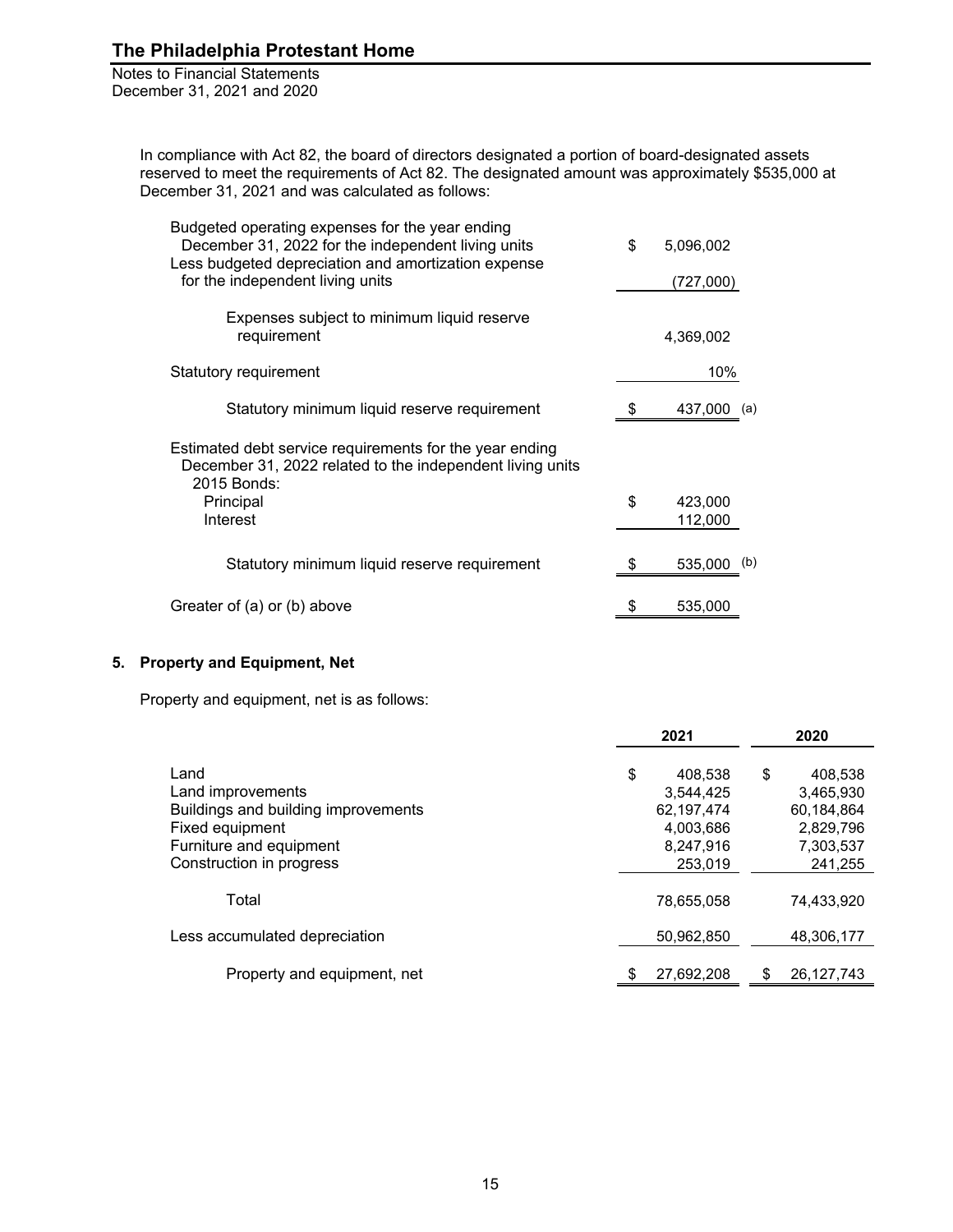Notes to Financial Statements December 31, 2021 and 2020

> In compliance with Act 82, the board of directors designated a portion of board-designated assets reserved to meet the requirements of Act 82. The designated amount was approximately \$535,000 at December 31, 2021 and was calculated as follows:

| Budgeted operating expenses for the year ending<br>December 31, 2022 for the independent living units<br>Less budgeted depreciation and amortization expense | \$ | 5,096,002          |
|--------------------------------------------------------------------------------------------------------------------------------------------------------------|----|--------------------|
| for the independent living units                                                                                                                             |    | (727,000)          |
| Expenses subject to minimum liquid reserve<br>requirement                                                                                                    |    | 4,369,002          |
| Statutory requirement                                                                                                                                        |    | 10%                |
| Statutory minimum liquid reserve requirement                                                                                                                 |    | 437,000 (a)        |
| Estimated debt service requirements for the year ending<br>December 31, 2022 related to the independent living units<br>2015 Bonds:                          |    |                    |
| Principal<br>Interest                                                                                                                                        | \$ | 423,000<br>112,000 |
| Statutory minimum liquid reserve requirement                                                                                                                 |    | (b)<br>535,000     |
| Greater of (a) or (b) above                                                                                                                                  | S  | 535,000            |

#### **5. Property and Equipment, Net**

Property and equipment, net is as follows:

|                                                                                                                                            | 2021                                                                          | 2020                                                                          |
|--------------------------------------------------------------------------------------------------------------------------------------------|-------------------------------------------------------------------------------|-------------------------------------------------------------------------------|
| Land<br>Land improvements<br>Buildings and building improvements<br>Fixed equipment<br>Furniture and equipment<br>Construction in progress | \$<br>408.538<br>3,544,425<br>62,197,474<br>4,003,686<br>8,247,916<br>253,019 | \$<br>408,538<br>3,465,930<br>60.184.864<br>2,829,796<br>7,303,537<br>241,255 |
| Total<br>Less accumulated depreciation                                                                                                     | 78,655,058<br>50.962.850                                                      | 74.433.920<br>48.306.177                                                      |
| Property and equipment, net                                                                                                                | 27.692.208                                                                    | 26,127,743                                                                    |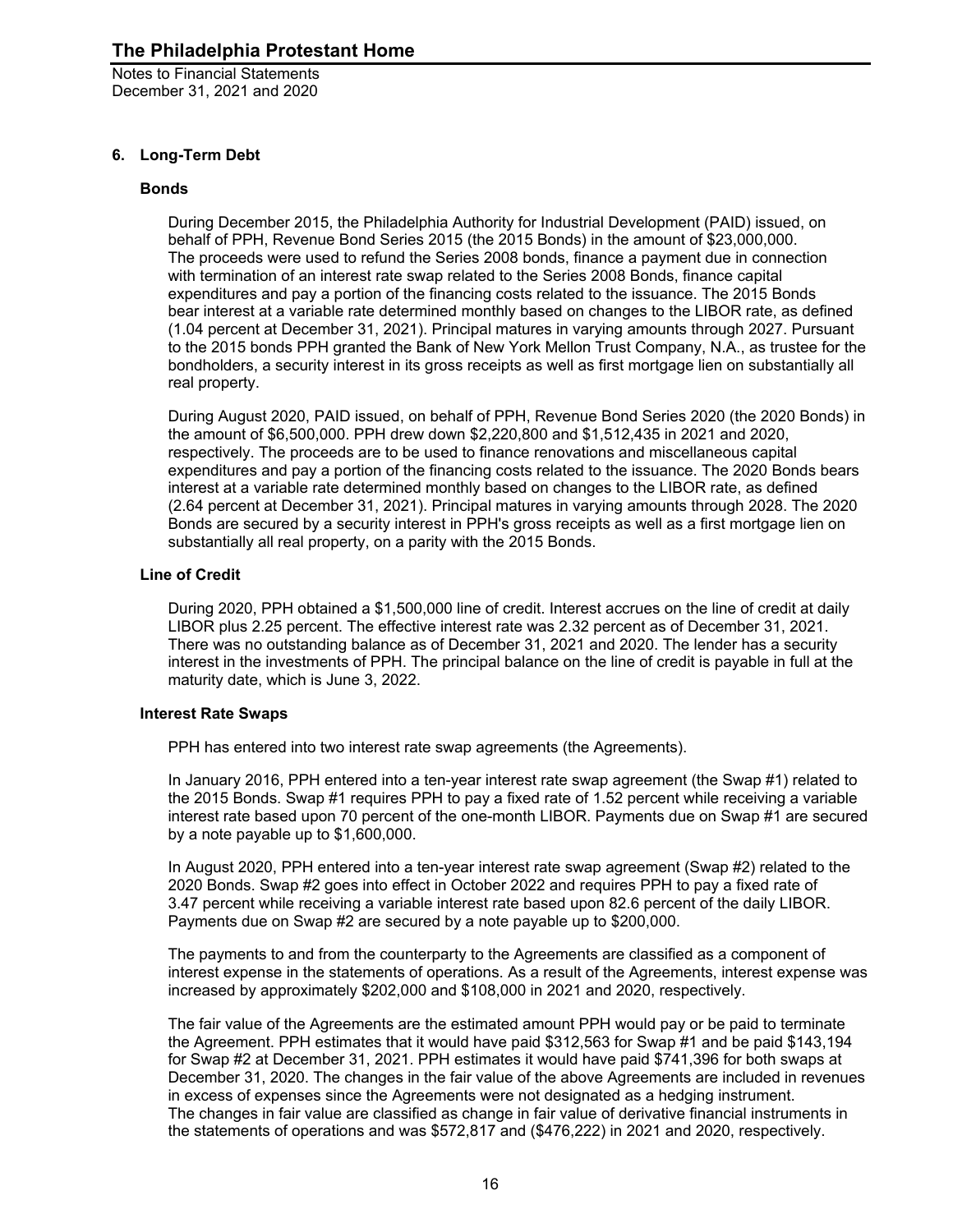Notes to Financial Statements December 31, 2021 and 2020

#### **6. Long-Term Debt**

#### **Bonds**

During December 2015, the Philadelphia Authority for Industrial Development (PAID) issued, on behalf of PPH, Revenue Bond Series 2015 (the 2015 Bonds) in the amount of \$23,000,000. The proceeds were used to refund the Series 2008 bonds, finance a payment due in connection with termination of an interest rate swap related to the Series 2008 Bonds, finance capital expenditures and pay a portion of the financing costs related to the issuance. The 2015 Bonds bear interest at a variable rate determined monthly based on changes to the LIBOR rate, as defined (1.04 percent at December 31, 2021). Principal matures in varying amounts through 2027. Pursuant to the 2015 bonds PPH granted the Bank of New York Mellon Trust Company, N.A., as trustee for the bondholders, a security interest in its gross receipts as well as first mortgage lien on substantially all real property.

During August 2020, PAID issued, on behalf of PPH, Revenue Bond Series 2020 (the 2020 Bonds) in the amount of \$6,500,000. PPH drew down \$2,220,800 and \$1,512,435 in 2021 and 2020, respectively. The proceeds are to be used to finance renovations and miscellaneous capital expenditures and pay a portion of the financing costs related to the issuance. The 2020 Bonds bears interest at a variable rate determined monthly based on changes to the LIBOR rate, as defined (2.64 percent at December 31, 2021). Principal matures in varying amounts through 2028. The 2020 Bonds are secured by a security interest in PPH's gross receipts as well as a first mortgage lien on substantially all real property, on a parity with the 2015 Bonds.

#### **Line of Credit**

During 2020, PPH obtained a \$1,500,000 line of credit. Interest accrues on the line of credit at daily LIBOR plus 2.25 percent. The effective interest rate was 2.32 percent as of December 31, 2021. There was no outstanding balance as of December 31, 2021 and 2020. The lender has a security interest in the investments of PPH. The principal balance on the line of credit is payable in full at the maturity date, which is June 3, 2022.

#### **Interest Rate Swaps**

PPH has entered into two interest rate swap agreements (the Agreements).

In January 2016, PPH entered into a ten-year interest rate swap agreement (the Swap #1) related to the 2015 Bonds. Swap #1 requires PPH to pay a fixed rate of 1.52 percent while receiving a variable interest rate based upon 70 percent of the one-month LIBOR. Payments due on Swap #1 are secured by a note payable up to \$1,600,000.

In August 2020, PPH entered into a ten-year interest rate swap agreement (Swap #2) related to the 2020 Bonds. Swap #2 goes into effect in October 2022 and requires PPH to pay a fixed rate of 3.47 percent while receiving a variable interest rate based upon 82.6 percent of the daily LIBOR. Payments due on Swap #2 are secured by a note payable up to \$200,000.

The payments to and from the counterparty to the Agreements are classified as a component of interest expense in the statements of operations. As a result of the Agreements, interest expense was increased by approximately \$202,000 and \$108,000 in 2021 and 2020, respectively.

The fair value of the Agreements are the estimated amount PPH would pay or be paid to terminate the Agreement. PPH estimates that it would have paid \$312,563 for Swap #1 and be paid \$143,194 for Swap #2 at December 31, 2021. PPH estimates it would have paid \$741,396 for both swaps at December 31, 2020. The changes in the fair value of the above Agreements are included in revenues in excess of expenses since the Agreements were not designated as a hedging instrument. The changes in fair value are classified as change in fair value of derivative financial instruments in the statements of operations and was \$572,817 and (\$476,222) in 2021 and 2020, respectively.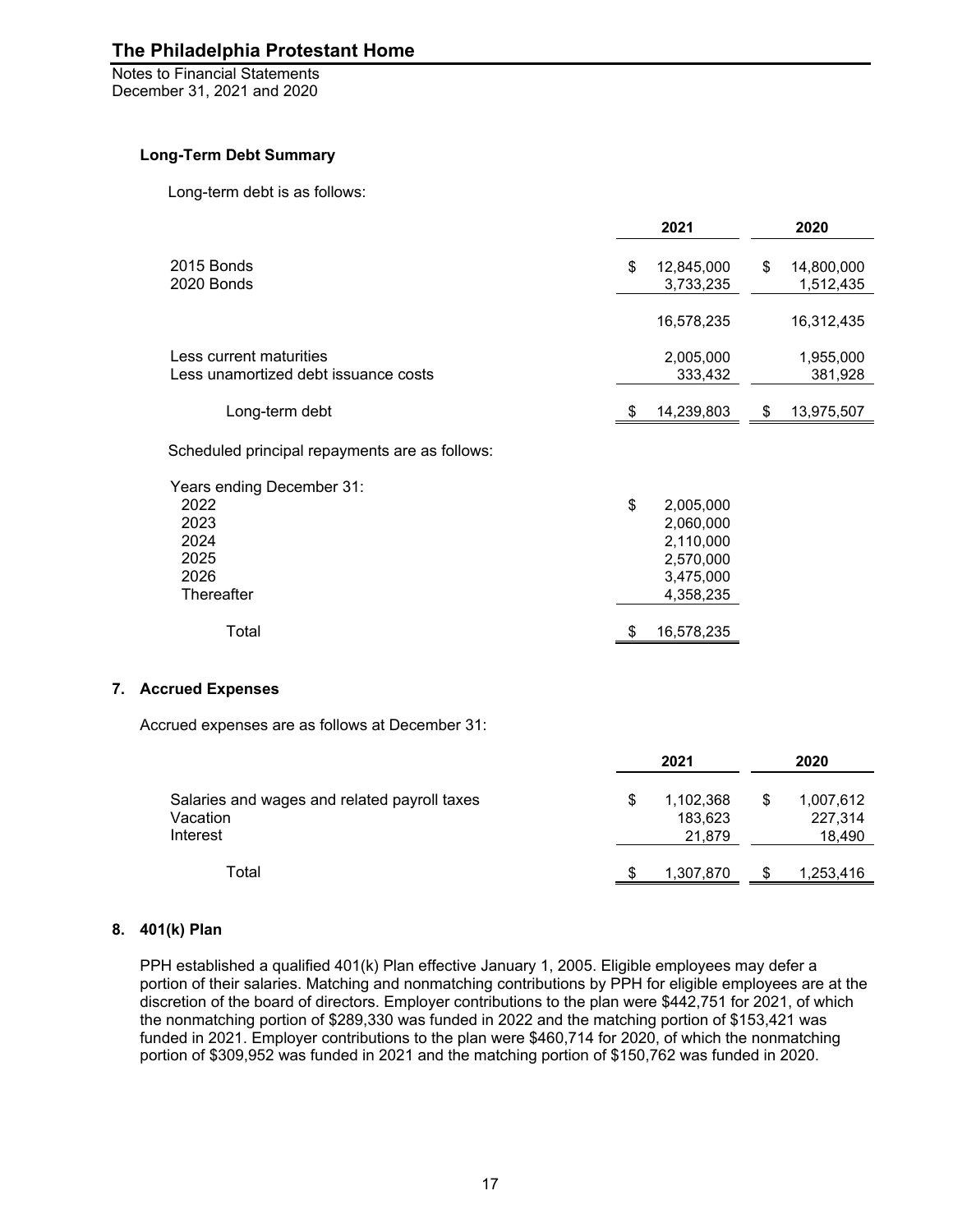Notes to Financial Statements December 31, 2021 and 2020

#### **Long-Term Debt Summary**

Long-term debt is as follows:

|                                                                 | 2021                          | 2020                          |
|-----------------------------------------------------------------|-------------------------------|-------------------------------|
| 2015 Bonds<br>2020 Bonds                                        | \$<br>12,845,000<br>3,733,235 | \$<br>14,800,000<br>1,512,435 |
|                                                                 | 16,578,235                    | 16,312,435                    |
| Less current maturities<br>Less unamortized debt issuance costs | 2,005,000<br>333,432          | 1,955,000<br>381,928          |
| Long-term debt                                                  | \$<br>14,239,803              | \$<br>13,975,507              |
| Scheduled principal repayments are as follows:                  |                               |                               |
| Years ending December 31:                                       |                               |                               |
| 2022                                                            | \$<br>2,005,000               |                               |
| 2023                                                            | 2,060,000                     |                               |
| 2024                                                            | 2,110,000                     |                               |
| 2025<br>2026                                                    | 2,570,000                     |                               |
| Thereafter                                                      | 3,475,000<br>4,358,235        |                               |
|                                                                 |                               |                               |
| Total                                                           | 16,578,235                    |                               |
|                                                                 |                               |                               |

#### **7. Accrued Expenses**

Accrued expenses are as follows at December 31:

|                                                                      |  | 2021                           |  | 2020                           |  |  |
|----------------------------------------------------------------------|--|--------------------------------|--|--------------------------------|--|--|
| Salaries and wages and related payroll taxes<br>Vacation<br>Interest |  | 1,102,368<br>183,623<br>21,879 |  | 1,007,612<br>227,314<br>18,490 |  |  |
| Total                                                                |  | 1,307,870                      |  | 1,253,416                      |  |  |

#### **8. 401(k) Plan**

PPH established a qualified 401(k) Plan effective January 1, 2005. Eligible employees may defer a portion of their salaries. Matching and nonmatching contributions by PPH for eligible employees are at the discretion of the board of directors. Employer contributions to the plan were \$442,751 for 2021, of which the nonmatching portion of \$289,330 was funded in 2022 and the matching portion of \$153,421 was funded in 2021. Employer contributions to the plan were \$460,714 for 2020, of which the nonmatching portion of \$309,952 was funded in 2021 and the matching portion of \$150,762 was funded in 2020.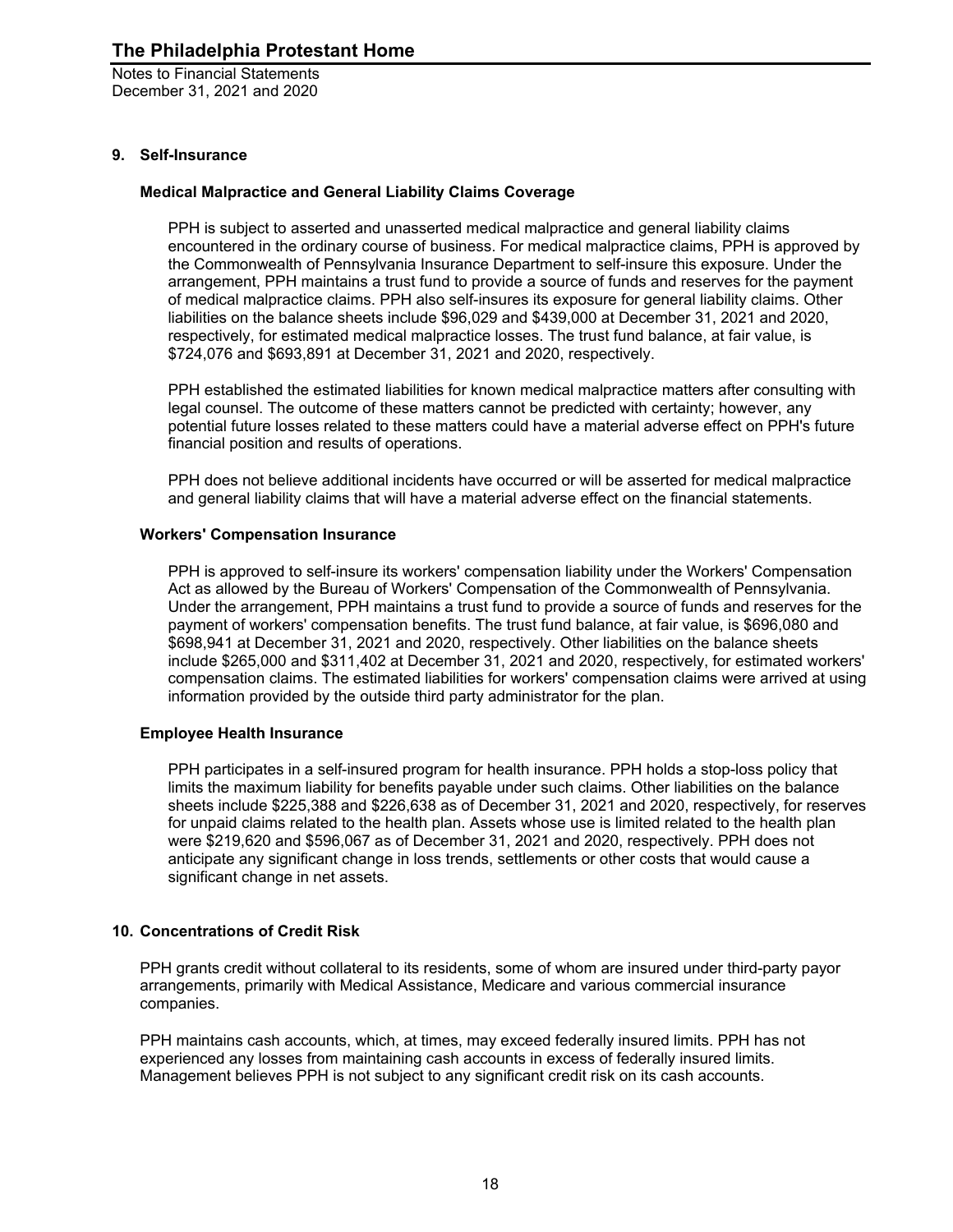#### **9. Self-Insurance**

#### **Medical Malpractice and General Liability Claims Coverage**

PPH is subject to asserted and unasserted medical malpractice and general liability claims encountered in the ordinary course of business. For medical malpractice claims, PPH is approved by the Commonwealth of Pennsylvania Insurance Department to self-insure this exposure. Under the arrangement, PPH maintains a trust fund to provide a source of funds and reserves for the payment of medical malpractice claims. PPH also self-insures its exposure for general liability claims. Other liabilities on the balance sheets include \$96,029 and \$439,000 at December 31, 2021 and 2020, respectively, for estimated medical malpractice losses. The trust fund balance, at fair value, is \$724,076 and \$693,891 at December 31, 2021 and 2020, respectively.

PPH established the estimated liabilities for known medical malpractice matters after consulting with legal counsel. The outcome of these matters cannot be predicted with certainty; however, any potential future losses related to these matters could have a material adverse effect on PPH's future financial position and results of operations.

PPH does not believe additional incidents have occurred or will be asserted for medical malpractice and general liability claims that will have a material adverse effect on the financial statements.

#### **Workers' Compensation Insurance**

PPH is approved to self-insure its workers' compensation liability under the Workers' Compensation Act as allowed by the Bureau of Workers' Compensation of the Commonwealth of Pennsylvania. Under the arrangement, PPH maintains a trust fund to provide a source of funds and reserves for the payment of workers' compensation benefits. The trust fund balance, at fair value, is \$696,080 and \$698,941 at December 31, 2021 and 2020, respectively. Other liabilities on the balance sheets include \$265,000 and \$311,402 at December 31, 2021 and 2020, respectively, for estimated workers' compensation claims. The estimated liabilities for workers' compensation claims were arrived at using information provided by the outside third party administrator for the plan.

#### **Employee Health Insurance**

PPH participates in a self-insured program for health insurance. PPH holds a stop-loss policy that limits the maximum liability for benefits payable under such claims. Other liabilities on the balance sheets include \$225,388 and \$226,638 as of December 31, 2021 and 2020, respectively, for reserves for unpaid claims related to the health plan. Assets whose use is limited related to the health plan were \$219,620 and \$596,067 as of December 31, 2021 and 2020, respectively. PPH does not anticipate any significant change in loss trends, settlements or other costs that would cause a significant change in net assets.

#### **10. Concentrations of Credit Risk**

PPH grants credit without collateral to its residents, some of whom are insured under third-party payor arrangements, primarily with Medical Assistance, Medicare and various commercial insurance companies.

PPH maintains cash accounts, which, at times, may exceed federally insured limits. PPH has not experienced any losses from maintaining cash accounts in excess of federally insured limits. Management believes PPH is not subject to any significant credit risk on its cash accounts.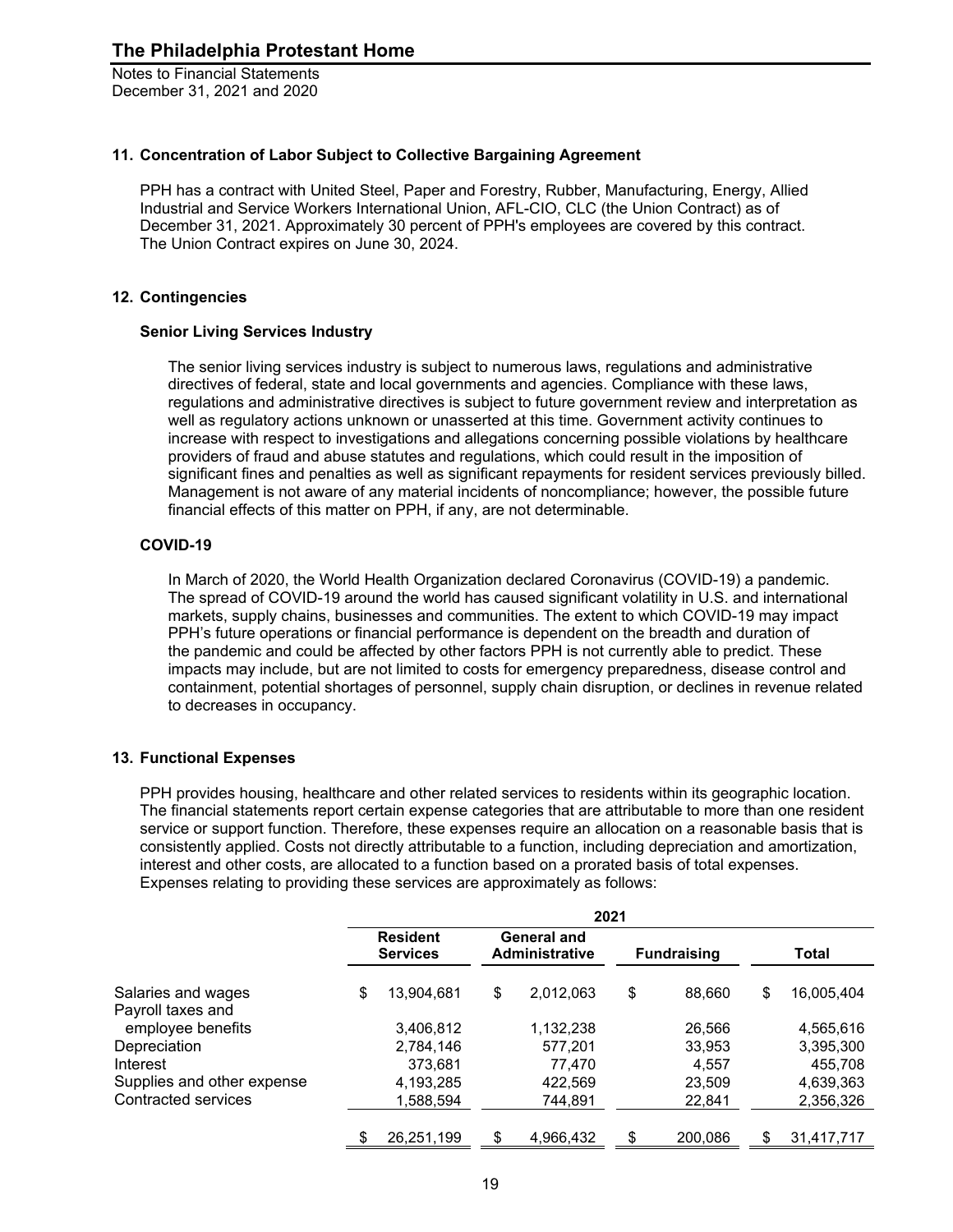#### **11. Concentration of Labor Subject to Collective Bargaining Agreement**

PPH has a contract with United Steel, Paper and Forestry, Rubber, Manufacturing, Energy, Allied Industrial and Service Workers International Union, AFL-CIO, CLC (the Union Contract) as of December 31, 2021. Approximately 30 percent of PPH's employees are covered by this contract. The Union Contract expires on June 30, 2024.

#### **12. Contingencies**

#### **Senior Living Services Industry**

The senior living services industry is subject to numerous laws, regulations and administrative directives of federal, state and local governments and agencies. Compliance with these laws, regulations and administrative directives is subject to future government review and interpretation as well as regulatory actions unknown or unasserted at this time. Government activity continues to increase with respect to investigations and allegations concerning possible violations by healthcare providers of fraud and abuse statutes and regulations, which could result in the imposition of significant fines and penalties as well as significant repayments for resident services previously billed. Management is not aware of any material incidents of noncompliance; however, the possible future financial effects of this matter on PPH, if any, are not determinable.

#### **COVID-19**

In March of 2020, the World Health Organization declared Coronavirus (COVID-19) a pandemic. The spread of COVID-19 around the world has caused significant volatility in U.S. and international markets, supply chains, businesses and communities. The extent to which COVID-19 may impact PPH's future operations or financial performance is dependent on the breadth and duration of the pandemic and could be affected by other factors PPH is not currently able to predict. These impacts may include, but are not limited to costs for emergency preparedness, disease control and containment, potential shortages of personnel, supply chain disruption, or declines in revenue related to decreases in occupancy.

#### **13. Functional Expenses**

PPH provides housing, healthcare and other related services to residents within its geographic location. The financial statements report certain expense categories that are attributable to more than one resident service or support function. Therefore, these expenses require an allocation on a reasonable basis that is consistently applied. Costs not directly attributable to a function, including depreciation and amortization, interest and other costs, are allocated to a function based on a prorated basis of total expenses. Expenses relating to providing these services are approximately as follows:

|                                        | 2021 |                                    |    |                                      |    |                    |    |              |  |
|----------------------------------------|------|------------------------------------|----|--------------------------------------|----|--------------------|----|--------------|--|
|                                        |      | <b>Resident</b><br><b>Services</b> |    | General and<br><b>Administrative</b> |    | <b>Fundraising</b> |    | <b>Total</b> |  |
| Salaries and wages                     | \$   | 13,904,681                         | \$ | 2,012,063                            | \$ | 88,660             | \$ | 16,005,404   |  |
| Payroll taxes and<br>employee benefits |      | 3,406,812                          |    | 1,132,238                            |    | 26,566             |    | 4,565,616    |  |
| Depreciation                           |      | 2,784,146                          |    | 577,201                              |    | 33,953             |    | 3,395,300    |  |
| Interest                               |      | 373,681                            |    | 77.470                               |    | 4.557              |    | 455,708      |  |
| Supplies and other expense             |      | 4,193,285                          |    | 422,569                              |    | 23,509             |    | 4,639,363    |  |
| Contracted services                    |      | 1,588,594                          |    | 744,891                              |    | 22,841             |    | 2,356,326    |  |
|                                        | \$   | 26,251,199                         | \$ | 4,966,432                            | \$ | 200.086            | S  | 31,417,717   |  |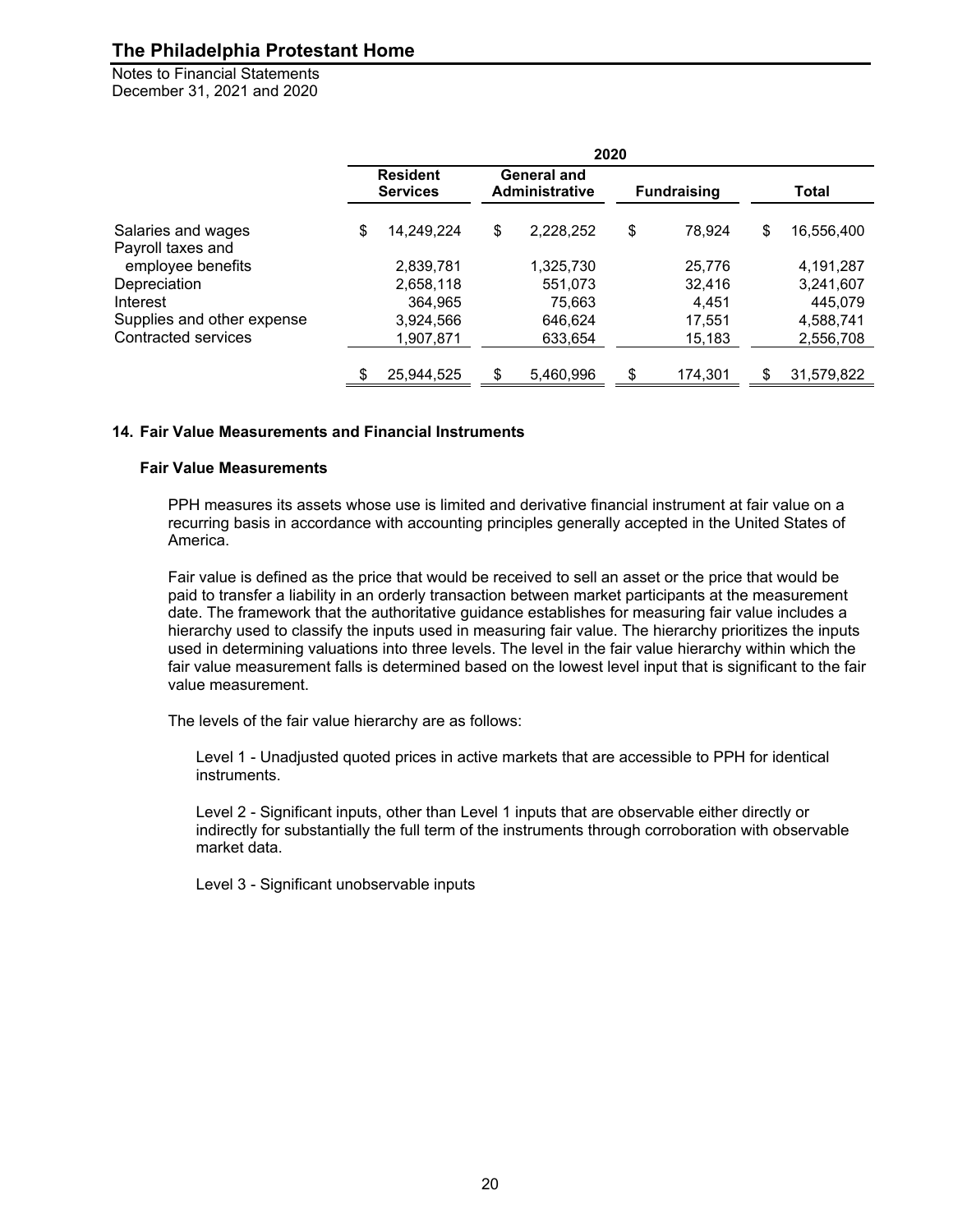Notes to Financial Statements December 31, 2021 and 2020

|                            | 2020                               |            |                                      |           |                    |         |       |            |
|----------------------------|------------------------------------|------------|--------------------------------------|-----------|--------------------|---------|-------|------------|
|                            | <b>Resident</b><br><b>Services</b> |            | General and<br><b>Administrative</b> |           | <b>Fundraising</b> |         | Total |            |
| Salaries and wages         | \$                                 | 14,249,224 | \$                                   | 2,228,252 | \$                 | 78.924  | \$    | 16,556,400 |
| Payroll taxes and          |                                    |            |                                      |           |                    |         |       |            |
| employee benefits          |                                    | 2,839,781  |                                      | 1,325,730 |                    | 25,776  |       | 4,191,287  |
| Depreciation               |                                    | 2,658,118  |                                      | 551,073   |                    | 32.416  |       | 3,241,607  |
| Interest                   |                                    | 364,965    |                                      | 75,663    |                    | 4,451   |       | 445.079    |
| Supplies and other expense |                                    | 3,924,566  |                                      | 646,624   |                    | 17,551  |       | 4,588,741  |
| Contracted services        |                                    | 1,907,871  |                                      | 633,654   |                    | 15,183  |       | 2,556,708  |
|                            | \$                                 | 25,944,525 | S                                    | 5,460,996 | \$                 | 174,301 | \$    | 31,579,822 |

#### **14. Fair Value Measurements and Financial Instruments**

#### **Fair Value Measurements**

PPH measures its assets whose use is limited and derivative financial instrument at fair value on a recurring basis in accordance with accounting principles generally accepted in the United States of America.

Fair value is defined as the price that would be received to sell an asset or the price that would be paid to transfer a liability in an orderly transaction between market participants at the measurement date. The framework that the authoritative guidance establishes for measuring fair value includes a hierarchy used to classify the inputs used in measuring fair value. The hierarchy prioritizes the inputs used in determining valuations into three levels. The level in the fair value hierarchy within which the fair value measurement falls is determined based on the lowest level input that is significant to the fair value measurement.

The levels of the fair value hierarchy are as follows:

Level 1 - Unadjusted quoted prices in active markets that are accessible to PPH for identical instruments.

Level 2 - Significant inputs, other than Level 1 inputs that are observable either directly or indirectly for substantially the full term of the instruments through corroboration with observable market data.

Level 3 - Significant unobservable inputs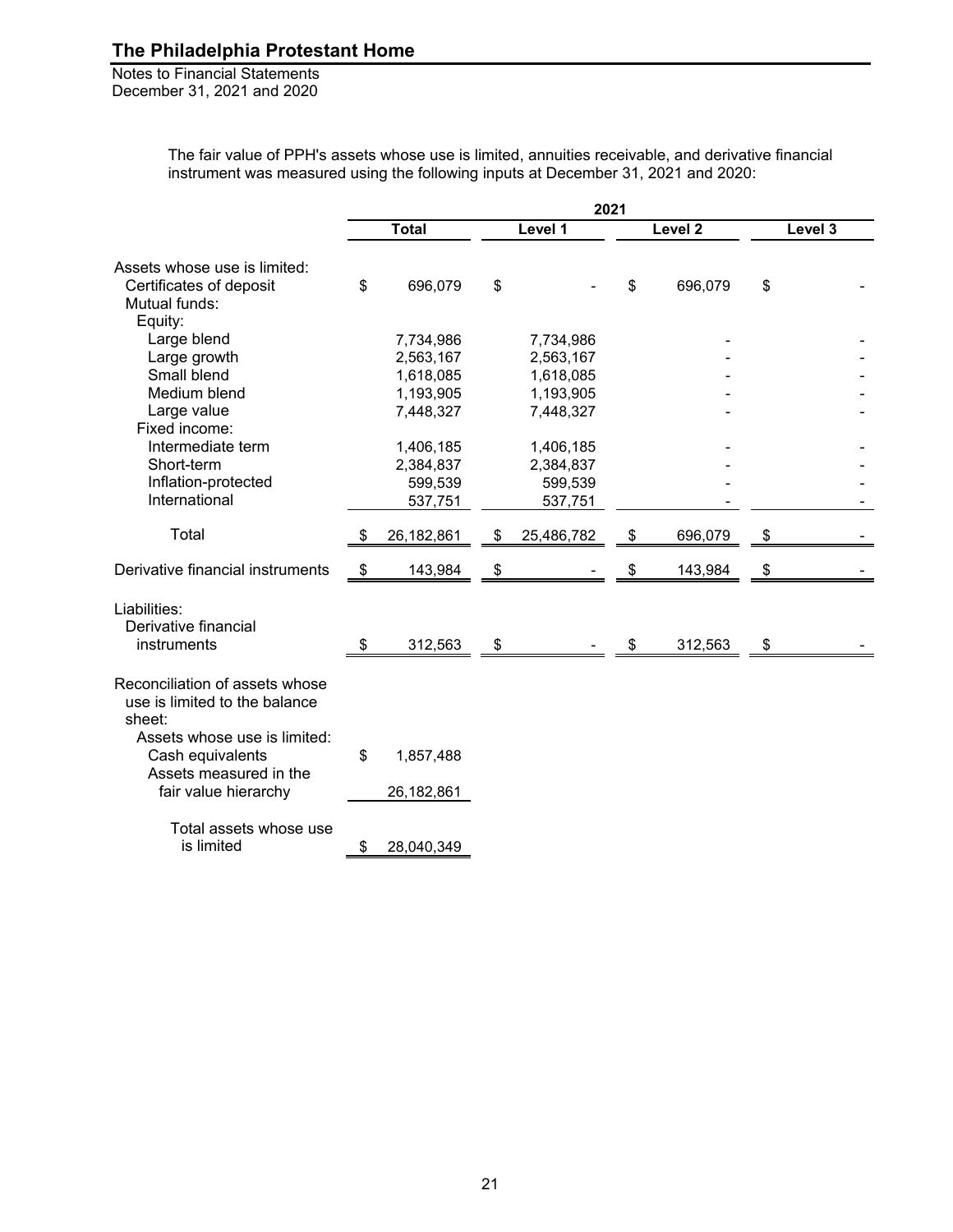Notes to Financial Statements December 31, 2021 and 2020

> The fair value of PPH's assets whose use is limited, annuities receivable, and derivative financial instrument was measured using the following inputs at December 31, 2021 and 2020:

|                                                                            | 2021 |              |    |            |    |                    |    |         |
|----------------------------------------------------------------------------|------|--------------|----|------------|----|--------------------|----|---------|
|                                                                            |      | <b>Total</b> |    | Level 1    |    | Level <sub>2</sub> |    | Level 3 |
| Assets whose use is limited:                                               |      |              |    |            |    |                    |    |         |
| Certificates of deposit<br>Mutual funds:<br>Equity:                        | \$   | 696,079      | \$ |            | \$ | 696,079            | \$ |         |
| Large blend                                                                |      | 7,734,986    |    | 7,734,986  |    |                    |    |         |
| Large growth                                                               |      | 2,563,167    |    | 2,563,167  |    |                    |    |         |
| Small blend                                                                |      | 1,618,085    |    | 1,618,085  |    |                    |    |         |
| Medium blend                                                               |      | 1,193,905    |    | 1,193,905  |    |                    |    |         |
| Large value<br>Fixed income:                                               |      | 7,448,327    |    | 7,448,327  |    |                    |    |         |
| Intermediate term                                                          |      | 1,406,185    |    | 1,406,185  |    |                    |    |         |
| Short-term                                                                 |      | 2,384,837    |    | 2,384,837  |    |                    |    |         |
| Inflation-protected                                                        |      | 599,539      |    | 599,539    |    |                    |    |         |
| International                                                              |      | 537,751      |    | 537,751    |    |                    |    |         |
| Total                                                                      |      | 26,182,861   | \$ | 25,486,782 | \$ | 696,079            | \$ |         |
| Derivative financial instruments                                           | \$   | 143,984      | \$ |            | \$ | 143,984            | \$ |         |
| Liabilities:<br>Derivative financial                                       |      |              |    |            |    |                    |    |         |
| instruments                                                                | \$   | 312,563      | \$ |            | \$ | 312,563            | \$ |         |
| Reconciliation of assets whose<br>use is limited to the balance<br>sheet:  |      |              |    |            |    |                    |    |         |
| Assets whose use is limited:<br>Cash equivalents<br>Assets measured in the | \$   | 1,857,488    |    |            |    |                    |    |         |
| fair value hierarchy                                                       |      | 26, 182, 861 |    |            |    |                    |    |         |
| Total assets whose use<br>is limited                                       | \$   | 28,040,349   |    |            |    |                    |    |         |
|                                                                            |      |              |    |            |    |                    |    |         |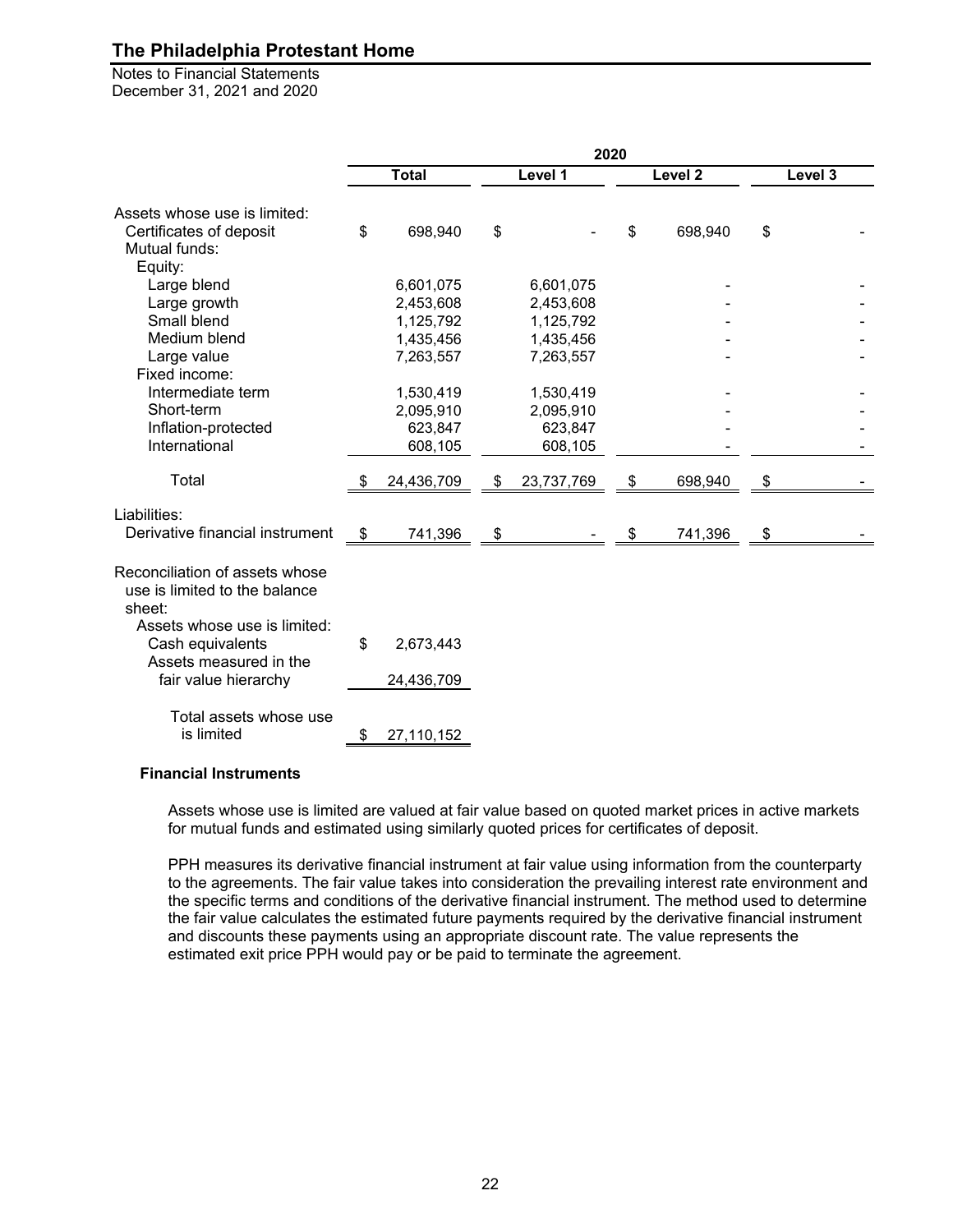Notes to Financial Statements December 31, 2021 and 2020

|                                                                           | 2020 |              |    |            |    |                    |    |         |  |
|---------------------------------------------------------------------------|------|--------------|----|------------|----|--------------------|----|---------|--|
|                                                                           |      | <b>Total</b> |    | Level 1    |    | Level <sub>2</sub> |    | Level 3 |  |
| Assets whose use is limited:                                              |      |              |    |            |    |                    |    |         |  |
| Certificates of deposit                                                   | \$   | 698,940      | \$ |            | \$ | 698,940            | \$ |         |  |
| Mutual funds:                                                             |      |              |    |            |    |                    |    |         |  |
| Equity:                                                                   |      |              |    |            |    |                    |    |         |  |
| Large blend                                                               |      | 6,601,075    |    | 6,601,075  |    |                    |    |         |  |
| Large growth                                                              |      | 2,453,608    |    | 2,453,608  |    |                    |    |         |  |
| Small blend                                                               |      | 1,125,792    |    | 1,125,792  |    |                    |    |         |  |
| Medium blend                                                              |      | 1,435,456    |    | 1,435,456  |    |                    |    |         |  |
| Large value                                                               |      | 7,263,557    |    | 7,263,557  |    |                    |    |         |  |
| Fixed income:                                                             |      |              |    |            |    |                    |    |         |  |
| Intermediate term                                                         |      | 1,530,419    |    | 1,530,419  |    |                    |    |         |  |
| Short-term                                                                |      | 2,095,910    |    | 2,095,910  |    |                    |    |         |  |
| Inflation-protected                                                       |      | 623,847      |    | 623,847    |    |                    |    |         |  |
| International                                                             |      | 608,105      |    | 608,105    |    |                    |    |         |  |
| Total                                                                     |      | 24,436,709   | \$ | 23,737,769 | \$ | 698,940            | \$ |         |  |
| Liabilities:                                                              |      |              |    |            |    |                    |    |         |  |
| Derivative financial instrument                                           | \$   | 741,396      | \$ |            | \$ | 741,396            | \$ |         |  |
| Reconciliation of assets whose<br>use is limited to the balance<br>sheet: |      |              |    |            |    |                    |    |         |  |
| Assets whose use is limited:                                              |      |              |    |            |    |                    |    |         |  |
| Cash equivalents                                                          | \$   | 2,673,443    |    |            |    |                    |    |         |  |
| Assets measured in the<br>fair value hierarchy                            |      | 24,436,709   |    |            |    |                    |    |         |  |
|                                                                           |      |              |    |            |    |                    |    |         |  |
| Total assets whose use<br>is limited                                      | \$   | 27,110,152   |    |            |    |                    |    |         |  |

#### **Financial Instruments**

Assets whose use is limited are valued at fair value based on quoted market prices in active markets for mutual funds and estimated using similarly quoted prices for certificates of deposit.

PPH measures its derivative financial instrument at fair value using information from the counterparty to the agreements. The fair value takes into consideration the prevailing interest rate environment and the specific terms and conditions of the derivative financial instrument. The method used to determine the fair value calculates the estimated future payments required by the derivative financial instrument and discounts these payments using an appropriate discount rate. The value represents the estimated exit price PPH would pay or be paid to terminate the agreement.